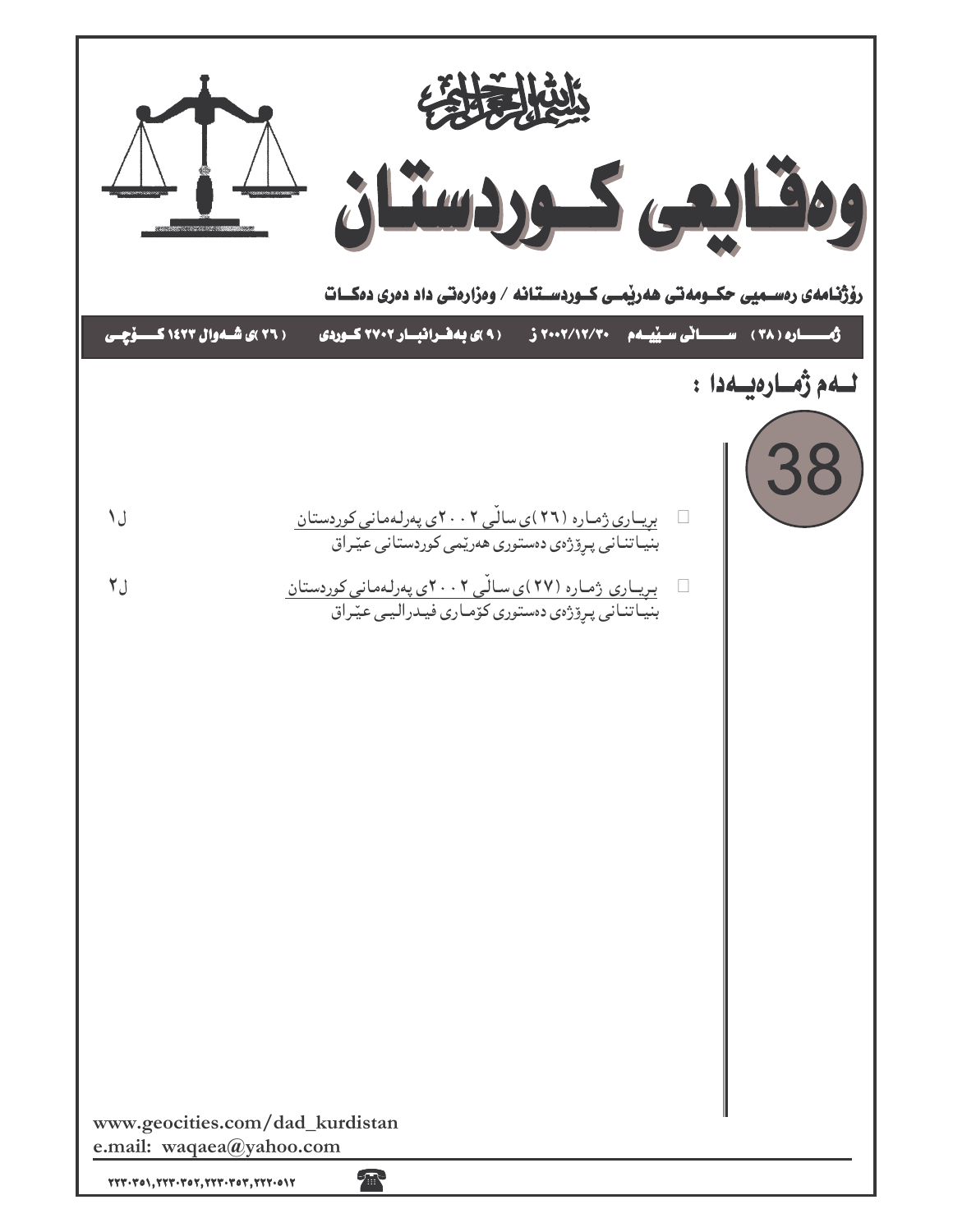|                                                                                                                                                                                                                                   | 经信收<br>ومقليبى كهردستان<br>رۆژنـامەی رەســمیی حکــومەتـی ھەریْمــی کــوردســتـانـه / وەزارەتـی داد دەری دەكــات     |                                                      |
|-----------------------------------------------------------------------------------------------------------------------------------------------------------------------------------------------------------------------------------|---------------------------------------------------------------------------------------------------------------------|------------------------------------------------------|
| ( ۲۶ )ی شـهوال ۱٤۲۳ کـــــوّچــی                                                                                                                                                                                                  | (۹)ی به فرانیسار ۲۷۰۲ کوردی<br>57.07/17/70                                                                          | ژهــــــاره ( ۳۸ ) - ســـــــاتی ســ <u>نیـ</u> ــهم |
|                                                                                                                                                                                                                                   |                                                                                                                     | لــهم ژمــارەيــەدا :                                |
| ل ۱                                                                                                                                                                                                                               | بریاری ژماره (۲۶)ی سالّی ۲۰۰۲ی پهرلهمانی کوردستان                                                                   |                                                      |
| ل ۲                                                                                                                                                                                                                               | بنیاتنانی پرِۆژەی دەستورى ھەرێمى كوردستانى عێراق                                                                    |                                                      |
|                                                                                                                                                                                                                                   | بىريــارى ژمـارە (٢٧)ى سـالْـى ٢٠٠٢ى پەرلـەمانى كوردستان<br>بنيـاتنـانى پـرِۆژەى دەستورى كۆمـارى فيـدراليـى عيّـراق |                                                      |
|                                                                                                                                                                                                                                   |                                                                                                                     |                                                      |
|                                                                                                                                                                                                                                   |                                                                                                                     |                                                      |
|                                                                                                                                                                                                                                   |                                                                                                                     |                                                      |
|                                                                                                                                                                                                                                   |                                                                                                                     |                                                      |
|                                                                                                                                                                                                                                   |                                                                                                                     |                                                      |
|                                                                                                                                                                                                                                   |                                                                                                                     |                                                      |
|                                                                                                                                                                                                                                   |                                                                                                                     |                                                      |
|                                                                                                                                                                                                                                   |                                                                                                                     |                                                      |
| www.geocities.com/dad_kurdistan                                                                                                                                                                                                   |                                                                                                                     |                                                      |
| e.mail: waqaea@yahoo.com<br>$\gamma\gamma\gamma\cdot\gamma\circ\gamma,\gamma\gamma\gamma\cdot\gamma\circ\gamma,\gamma\gamma\gamma\cdot\gamma\circ\gamma\gamma\gamma\cdot\gamma\cdot\gamma\gamma\cdot\gamma\cdot\gamma\cdot\gamma$ | 承                                                                                                                   |                                                      |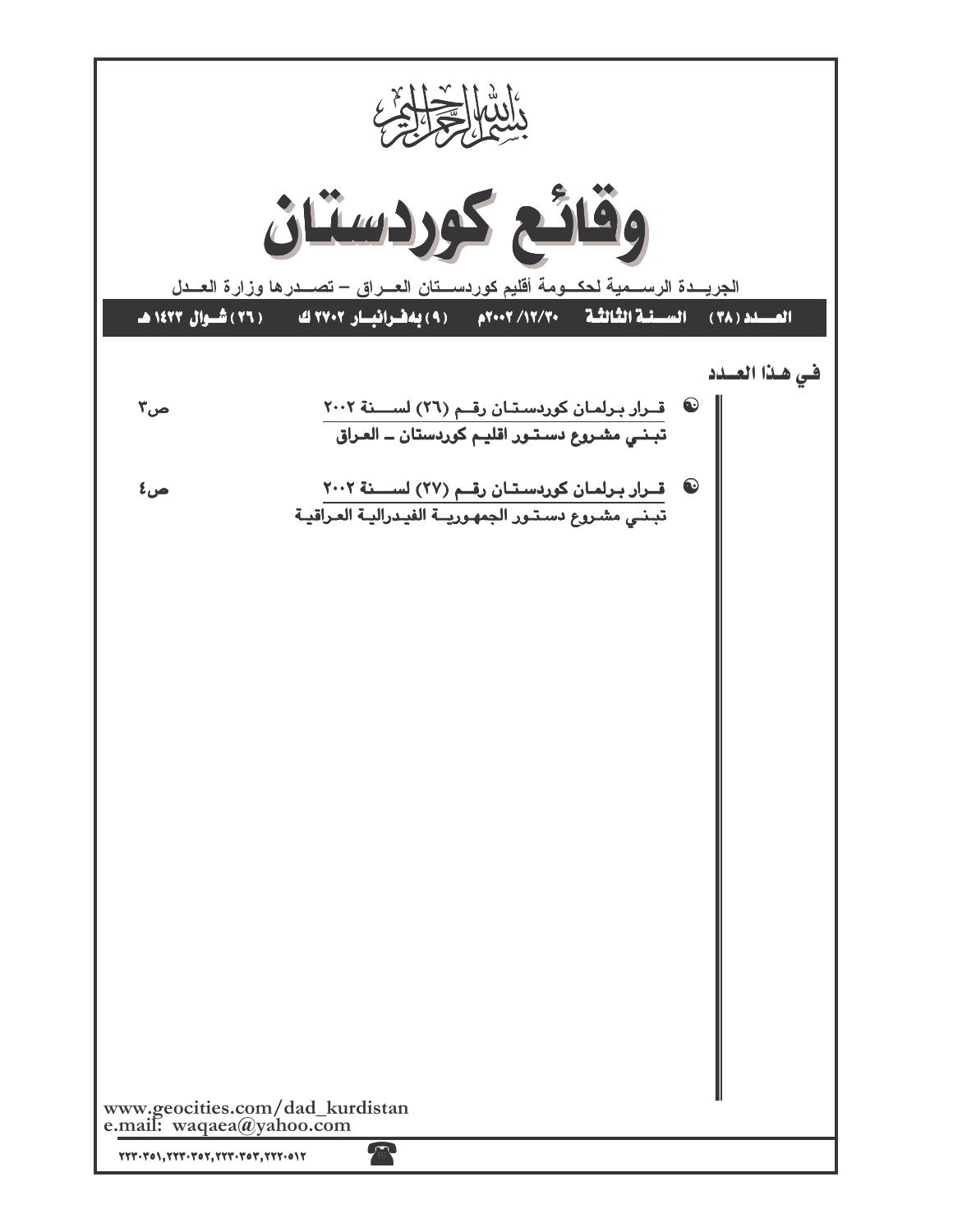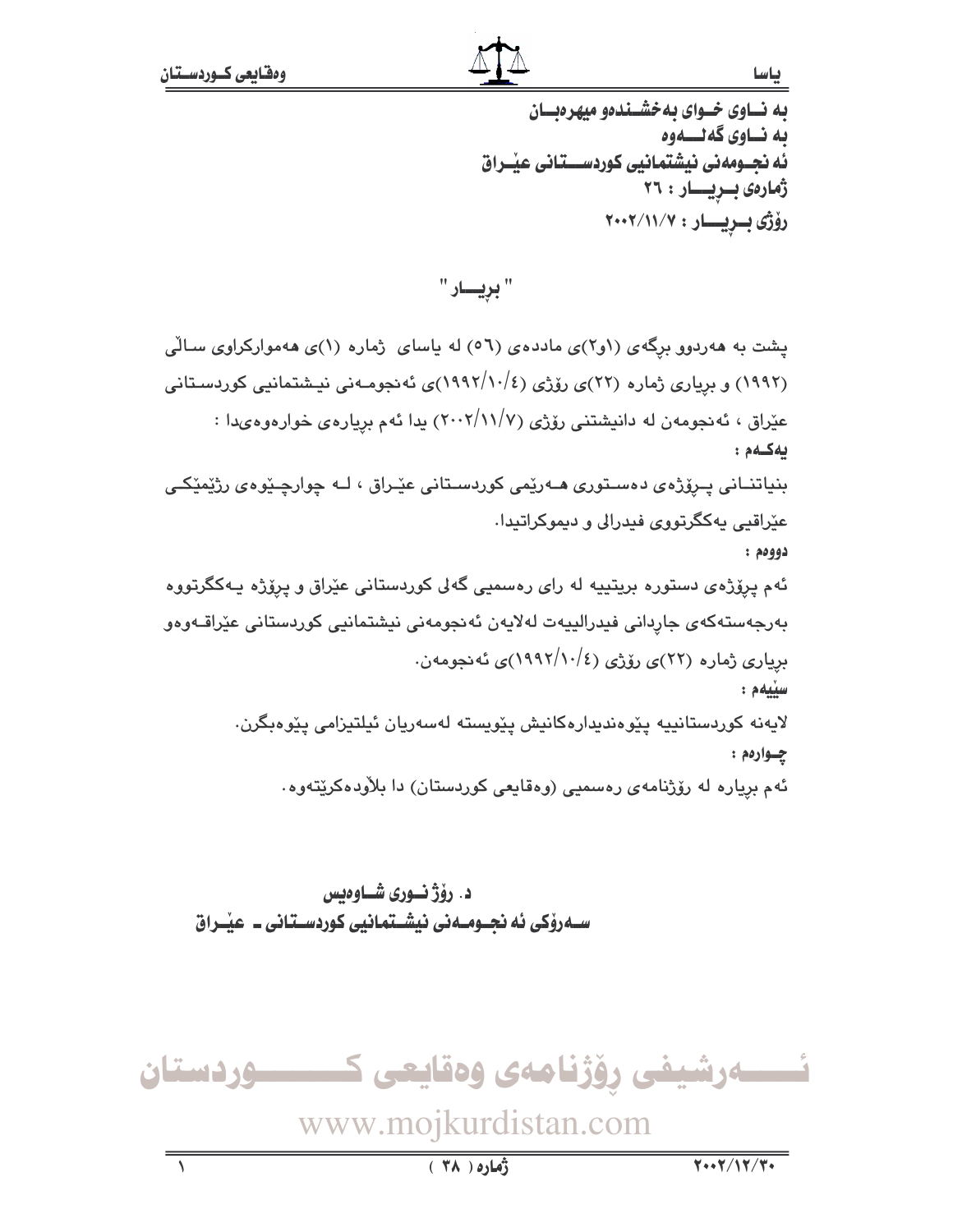### ياسا

به نساوی خسوای به خشسندهو میهرهبسان ىه نــاوى گەلـــەوە ئه نحـومهني نيشتمانيي كوردســـتاني عنــراق ژمارەى بىريسار : ٢٦ رۆژى بىريسار: ٢٠٠٢/١١/٧

پشت به ههردوو برگهی (۱و۲)ی ماددهی (۵٦) له پاسای ژماره (۱)ی ههموارکراوی سـالّی (۱۹۹۲) و برِیاری ژماره (۲۲)ی رۆژی (۱۹۹۲/۱۰/٤)ی ئه نجومـهنی نیـشتمانیی کوردسـتانی عێراق ، ئەنجومەن لە دانيشتني رۆژى (١١//٧-٢٠٠) يدا ئەم بريارەي خوارەوەيدا : ىەكسەم: بنياتنــاني پــرۆژەي دەسـتورى ھــەرێمى كوردسـتانى عێـراق ، لــه چوارچـێوەی رژێمێکـی عێراقیی پهکگرتووی فیدرالی و دیموکراتیدا. دوومم : ئهم پرۆژەی دستورە بریتییه له رای رەسمیی گەلی کوردستانی عیّراق و پرِۆژە یـەکگرتووە بەرجەستەكەى جاردانى فيدرالييەت لەلايەن ئەنجومەنى نيشتمانيى كوردستانى عێراقـەوەو برِیاری ژماره (۲۲)ی رۆژی (۱۹۹۲/۱۰/٤)ی ئەنجومەن. سيّيهم : لايەنە كوردستانييە يێوەندىدارەكانيش يێويستە لەسەريان ئيلتىزامى يێوەبگرن. چواردم: ئهم برياره له رۆژنامەي رەسمىي (وەقايعى كوردستان) دا بلاّودەكرێتەوە.

د. رۆژنسورى شساوەيس ســهروْکی ئه نجــومــهنی نیشــتمانیی کوردسـتـانی ــ عیـْــراق

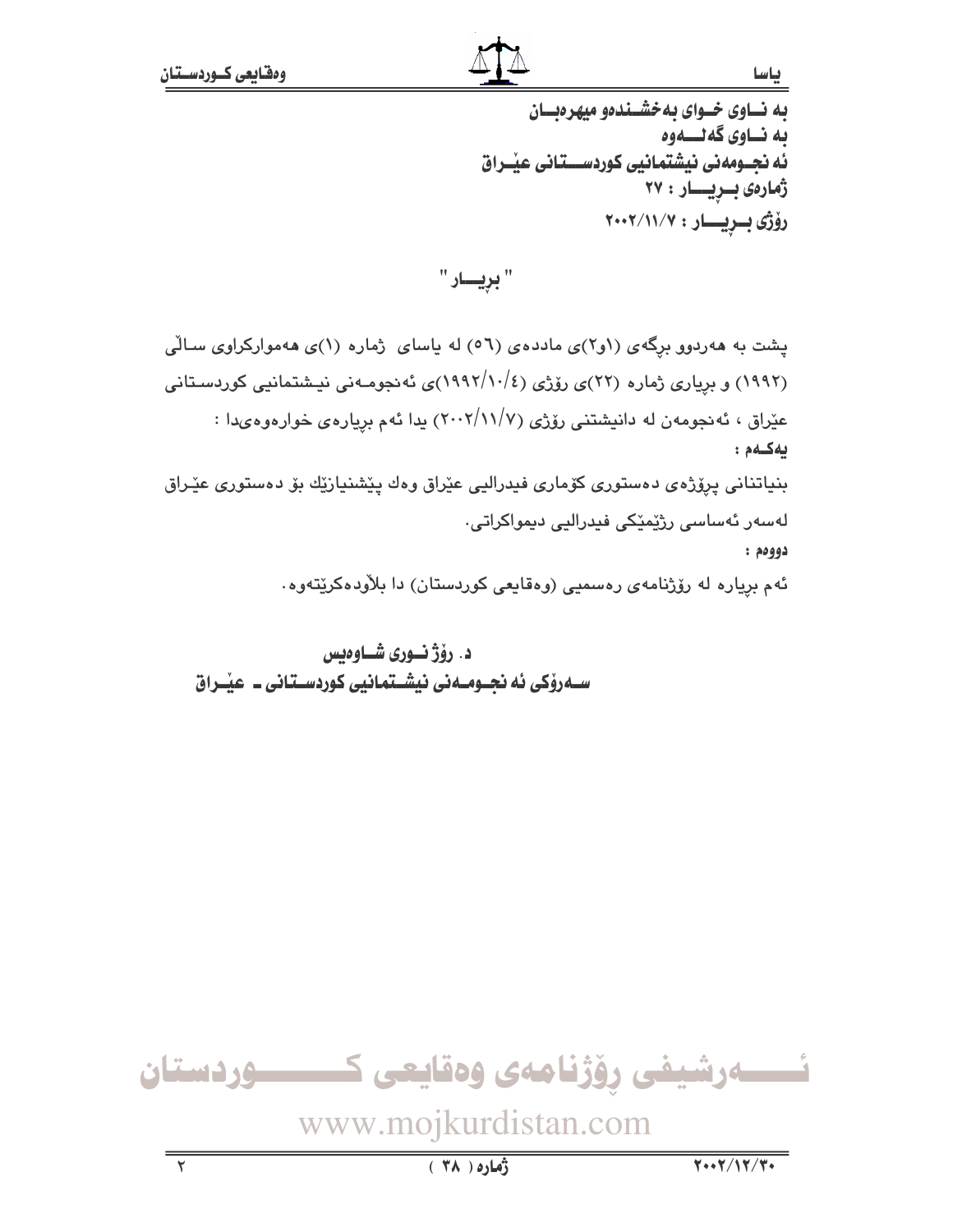باسا

به نساوی خسوای به خشسندهو میهرهبسان ىه نــاوى گەلــــەوە ئه نجــومەنى نيشتمانيى كوردســـتانى عيْــراق ژمارەى بىريسار : ۲۷ رۆژى بىريسار: ٢٠٠٢/١١/٧

" بريــــار "

پشت به ههردوو برگهی (او۲)ی ماددهی (۵٦) له باسای ژماره (۱)ی ههموارکراوی سـالّی (۱۹۹۲) و برِیاری ژماره (۲۲)ی رۆژی (۱۹۹۲/۱۰/٤)ی ئهنجومـهنی نیـشتمانیی کوردسـتانی عیّراق ، ئه نجومهن له دانیشتنی رۆژی (۱۱/۷/۲) بدا ئهم بریارهی خوارهوهىدا : بەكلەم: بنیاتنانی پرِۆژەی دەستوری کۆماری فیدرالیی عێراق وەك پێشنیازێك بۆ دەستوری عێـراق لەسەر ئەساسى رژێمێکى فيدراليى دىمواكراتى٠  $:$  40994 ئهم بړیاره له رۆژنامهی رەسمیی (وەقايعی کوردستان) دا بلاّودەکرێتەوە.

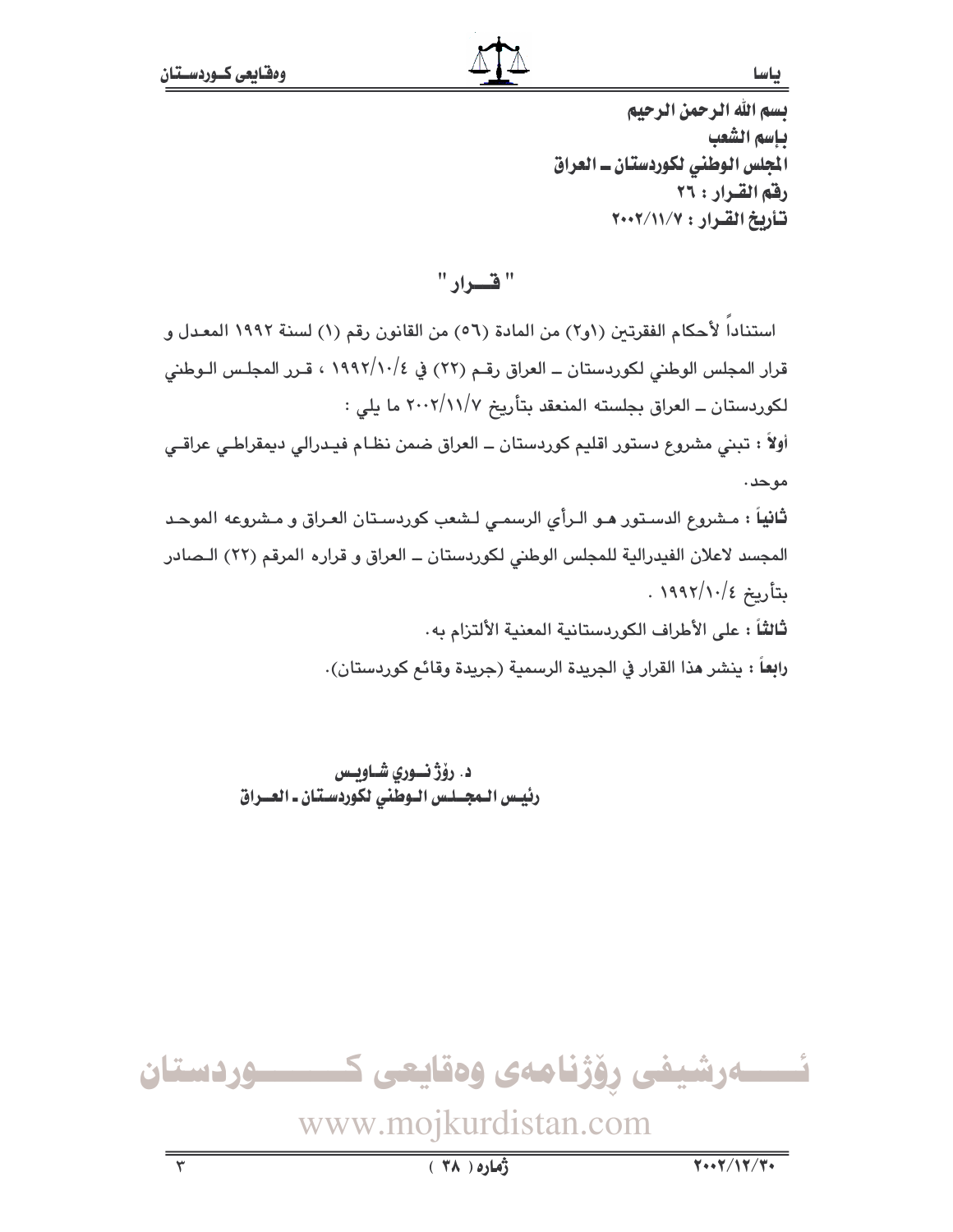ياسا

يسم الله الرحمن الرحيم ياسم الشعب المجلس الوطني لكوردستان ـ العراق رفق القرار : ٢٦ تأريخ القرار: ٢٠٠٢/١١/٧

" قسرار "

استنادا لأحكام الفقرتين (١و٢) من المادة (٥٦) من القانون رقم (١) لسنة ١٩٩٢ المعدل و قرار المجلس الوطني لكوردستان ــ العراق رقـم (٢٢) في ١٩٩٢/١٠/٤ ، قـرر المجلـس الـوطنى لكوردستان ــ العراق بجلسته المنعقد بتأريخ ٢٠٠٢/١١/٧ ما يلي : أولاً : تبني مشروع دستور اقليم كوردستان ــ العراق ضمن نظـام فيـدرالي ديمقراطـي عراقـي موحد. **ثانياً :** مـشروع الدسـتور هـو الـرأى الرسمـى لـشعب كوردسـتان العـراق و مـشروعه الموحـد المجسد لاعلان الفيدرالية للمجلس الوطني لكوردستان ــ العراق و قراره المرقم (٢٢) الـصادر بتأريخ ١٩٩٢/١٠/٤ . ثالثاً : على الأطراف الكوردستانية المعنية الألتزام به. رابعاً : ينشر هذا القرار في الجريدة الرسمية (جريدة وقائم كوردستان).

> د. رۆژ نورى شاويس رئيس المجلس الوطني لكوردستان ـ العـراق

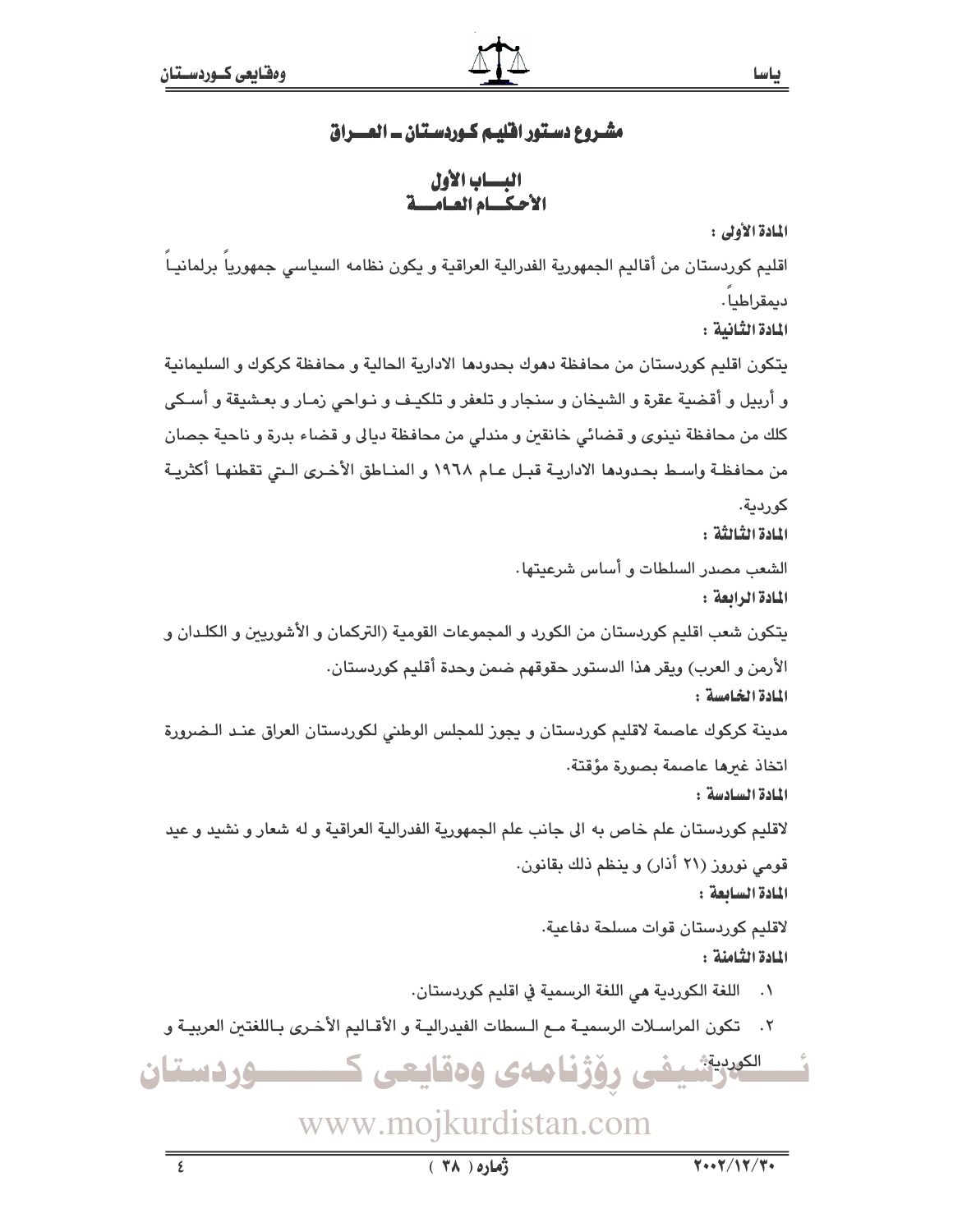## مشـروع دسـتور افليـم كـوردسـتان ــ المـــراق

البساب الأول الأحكيام العبامية

المادة الأولى :

اقليم كوردستان من أقاليم الجمهورية الفدرالية العراقية و يكون نظامه السياسي جمهوريا برلمانيـا ديمقراطيا.

المادة الثّانية :

يتكون اقليم كوردستان من محافظة دهوك بحدودها الادارية الحالية و محافظة كركوك و السليمانية و أربيل و أقضية عقرة و الشيخان و سنجار و تلعفر و تلكيـف و نـواحي زمـار و بعـشيقة و أسـكي كلك من محافظة نينوي و قضائي خانقين و مندلي من محافظة ديالي و قضاء بدرة و ناحية جصان من محافظـة واسـط بحـدودها الاداريــة قبــل عـام ١٩٦٨ و المنــاطق الأخـرى الـتى تقطنهـا أكثريــة كوردية.

النادة الثنائثة :

الشعب مصدر السلطات و أساس شرعيتها. المادة الرابعة :

يتكون شعب اقليم كوردستان من الكورد و المجموعات القومية (التركمان و الأشوريين و الكلـدان و الأرمن و العرب) ويقر هذا الدستور حقوقهم ضمن وحدة أقليم كوردستان.

المادة الخامسة :

مدينة كركوك عاصمة لاقليم كوردستان و يجوز للمجلس الوطني لكوردستان العراق عنـد الـضرورة اتخاذ غىرها عاصمة بصورة مؤقتة.

المادة السادسة:

لاقليم كوردستان علم خاص به الى جانب علم الجمهورية الفدرالية العراقية و له شعار و نشيد و عيد قومی نوروز (۲۱ أذار) و ينظم ذلك بقانون.

المادة السابعة:

لاقليم كوردستان قوات مسلحة دفاعية. المادة الثّامنة :

- ٠١ اللغة الكوردية هي اللغة الرسمية في اقليم كوردستان.
- ٢. تكون المراسلات الرسميـة مـع الـسطات الفيدراليـة و الأقـاليم الأخـرى بـاللغتين العربيـة و

<sup>الكرر</sup>يةشيفي رۆژنامەي وەقايعى ك ـــوردستان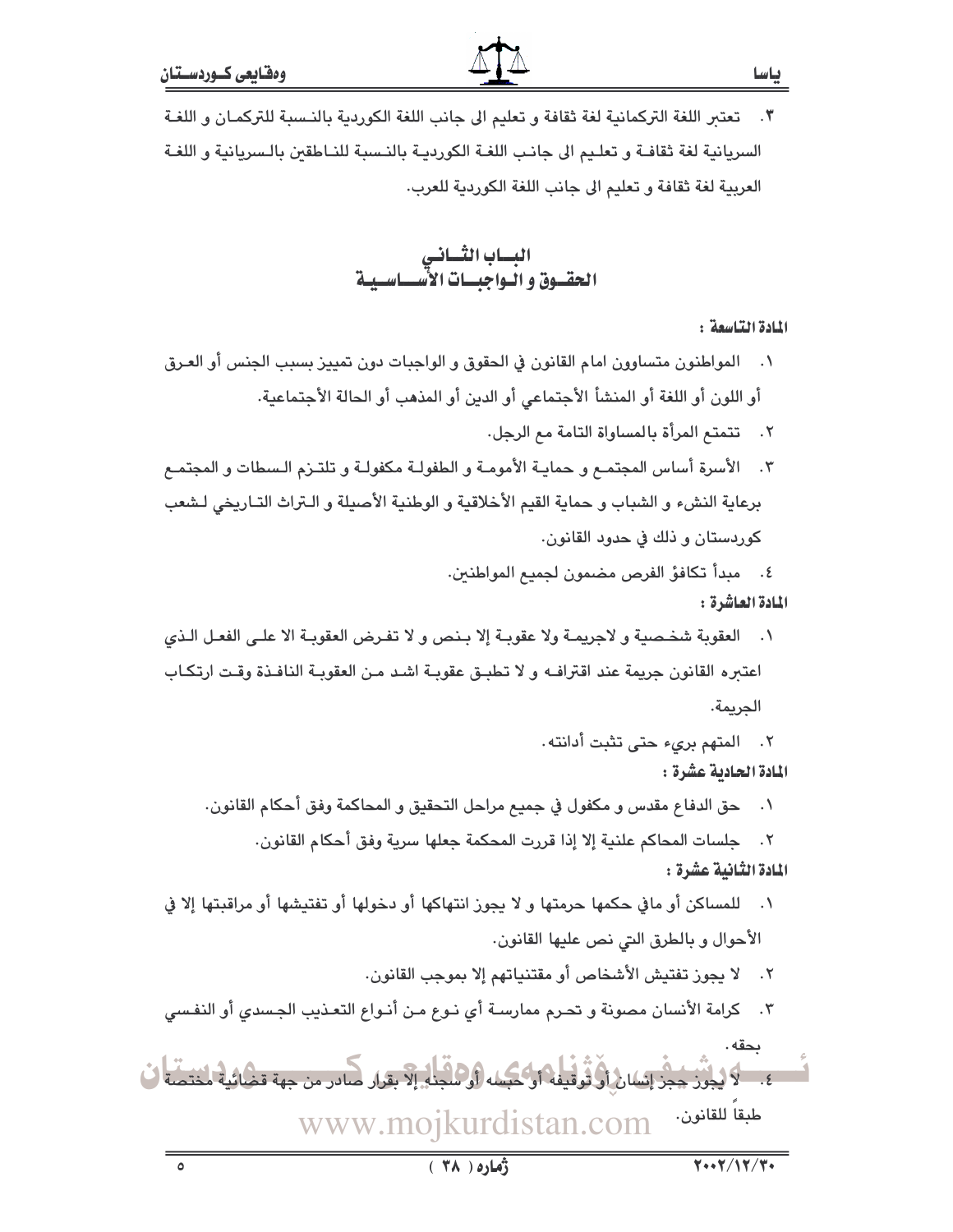البساب الثساني<br>الحقسوق و اليواجبسات الأسسياسيية

المادة التاسعة :

- ٠١ المواطنون متساوون امام القانون في الحقوق و الواجبات دون تمييز بسبب الجنس أو العـرق أو اللون أو اللغة أو المنشأ الأجتماعي أو الدين أو المذهب أو الحالة الأجتماعية.
	- ٢. تتمتم المرأة بالمساواة التامة مم الرجل.
- ٣. الأسرة أساس المجتمـع و حمايـة الأمومـة و الطفولـة مكفولـة و تلتـزم الـسطات و المجتمـع برعاية النشء و الشباب و حماية القيم الأخلاقية و الوطنية الأصيلة و الـتراث التـاريخي لـشعب كوردستان و ذلك في حدود القانون.
	- ٤. مبدأ تكافؤ الفرص مضمون لجميع المواطنين. المادة العاشرة :
- ١. العقوبة شخصية و لاجريمـة ولا عقوبـة إلا بـنص و لا تفـرض العقوبـة الا علـى الفعـل الـذي اعتبره القانون جريمة عند اقتراف ولا تطبق عقوبة اشد من العقوبة النافذة وقت ارتكاب الحريمة.
	- ٢. المتهم بريء حتى تثبت أدانته.

المادة الحادية عشرة :

٠١ حق الدفاع مقدس و مكفول في جميع مراحل التحقيق و المحاكمة وفق أحكام القانون.

٢. جلسات المحاكم علنية إلا إذا قررت المحكمة جعلها سرية وفق أحكام القانون. المادة الثَّانية عشرة :

- ١. للمساكن أو مافي حكمها حرمتها و لا يجوز انتهاكها أو دخولها أو تفتيشها أو مراقبتها إلا في الأحوال و بالطرق التي نص عليها القانون.
	- ٢. لا يجوز تفتيش الأشخاص أو مقتنياتهم إلا بموجب القانون.
- ٢. كرامة الأنسان مصونة و تحـرم ممارسـة أي نـوع مـن أنـواع التعـذيب الجـسدي أو النفـسي

بحقه . ٤. ٧- لا يُجْرَز جِجْزَ إِنْسَانَ أَوْ تُوقِّيفُهُ أَوْ كَيْسَه (أَوْ هَذَاءَ بِقِرَارٍ صَّادِرٍ مِن جهة قضائية لمختصة ال طبقاً للقانون. www.mojkurdistan.com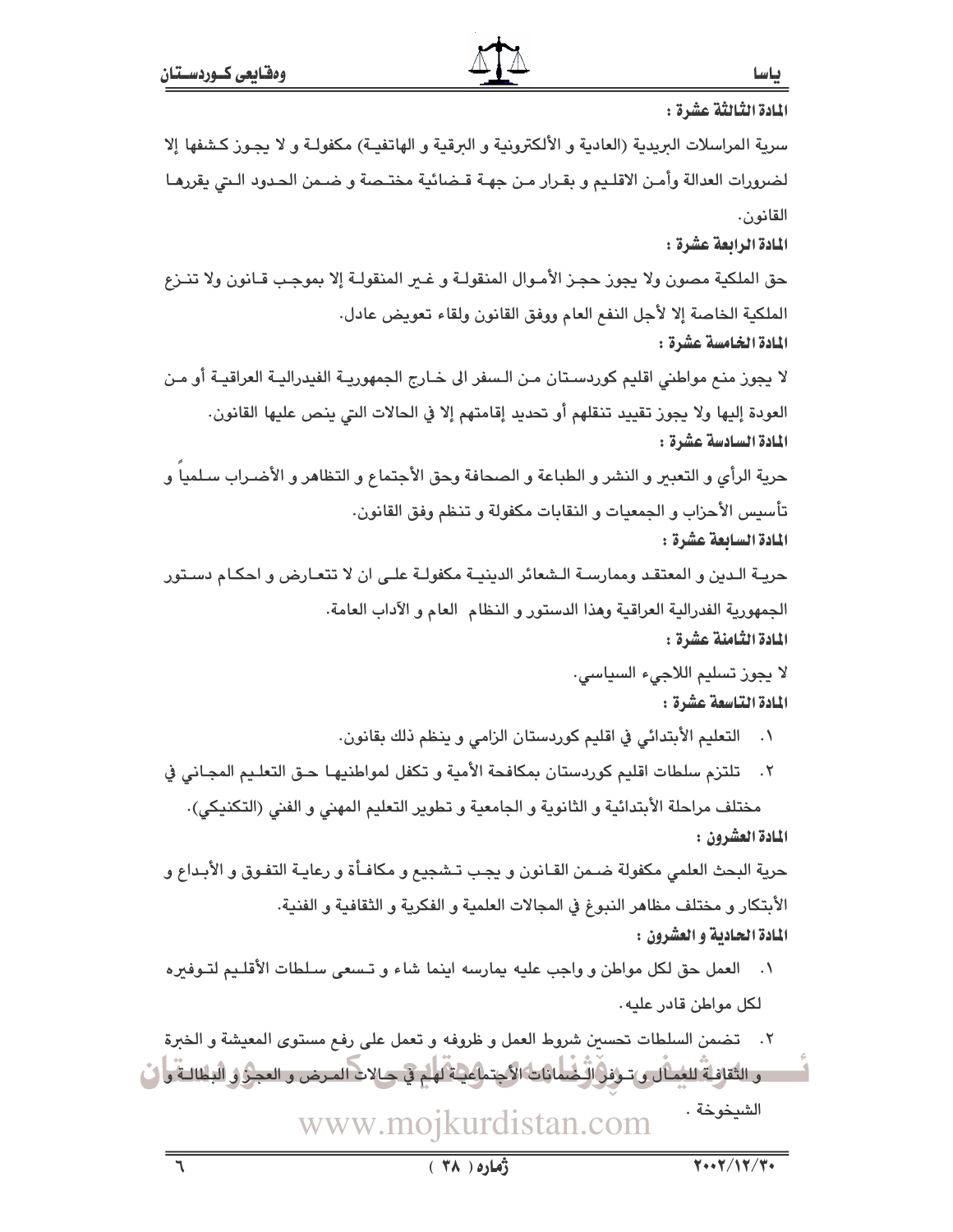المادة الثَّالثَّة عشرة : سرية المراسلات البريدية (العادية و الألكترونية و البرقية و الهاتفيـة) مكفولـة و لا يجـوز كـشفها إلا لضرورات العدالة وأمـن الاقلـيم و بقـرار مـن جهـة قـضائية مختـصة و ضـمن الحـدود الـتي يقررهـا القانون. المادة الرابعة عشرة : حق الملكية مصون ولا يجوز حجـز الأمـوال المنقولـة و غـير المنقولـة إلا بموجـب قـانون ولا تنــزع الملكية الخاصة إلا لأجل النفع العام ووفق القانون ولقاء تعويض عادل. المادة الخامسة عشرة : لا يجوز منـم مواطني اقليم كوردسـتان مـن الـسفر الى خـارج الجمهوريـة الفيدراليـة العراقيـة أو مـن العودة إليها ولا يجوز تقييد تنقلهم أو تحديد إقامتهم إلا في الحالات التي ينص عليها القانون. المادة السادسة عشرة : حرية الرأى و التعبير و النشر و الطباعة و الصحافة وحق الأجتماع و التظاهر و الأضـراب سـلميا و تأسيس الأحزاب و الجمعيات و النقابات مكفولة و تنظم وفق القانون. المادة السابعة عشرة : حريـة الـدين و المعتقـد وممارسـة الـشعائر الدينيـة مكفولـة علـى ان لا تتعـارض و احكـام دسـتور الجمهورية الفدرالية العراقية وهذا الدستور و النظام العام و الآداب العامة. المادة الثّامنة عشرة : لا يجوز تسليم اللاجيء السياسي. المادة التاسعة عشرة : ٠١ التعليم الأبتدائي في اقليم كوردستان الزامي و ينظم ذلك بقانون. ٢. تلتزم سلطات اقليم كوردستان بمكافحة الأمية و تكفل لمواطنيهـا حـق التعلـيم المجـاني في مختلف مراحلة الأبتدائية و الثانوية و الجامعية و تطوير التعليم المهني و الفني (التكنيكي). المادة العشرون : حرية البحث العلمي مكفولة ضـمن القـانون و يجـب تـشجيع و مكافـأة و رعايـة التفـوق و الأبـداع و الأبتكار و مختلف مظاهر النبوغ في المجالات العلمية و الفكرية و الثقافية و الفنية. المادة الحادية و العشرون : ٠١ العمل حق لكل مواطن و واجب عليه يمارسه اينما شاء و تـسعى سـلطات الأقلـيم لتـوفيره لكل مواطن قادر عليه. ٢. تضمن السلطات تحسين شروط العمل و ظروفه و تعمل على رفع مستوى المعيشة و الخبرة . و التقافية للغمال و ترفول ليُضمانات الأجتماعية لهم في حيالات المرض و العجز و البطالية و في

> الشيخوخة . www.mojkurdistan.com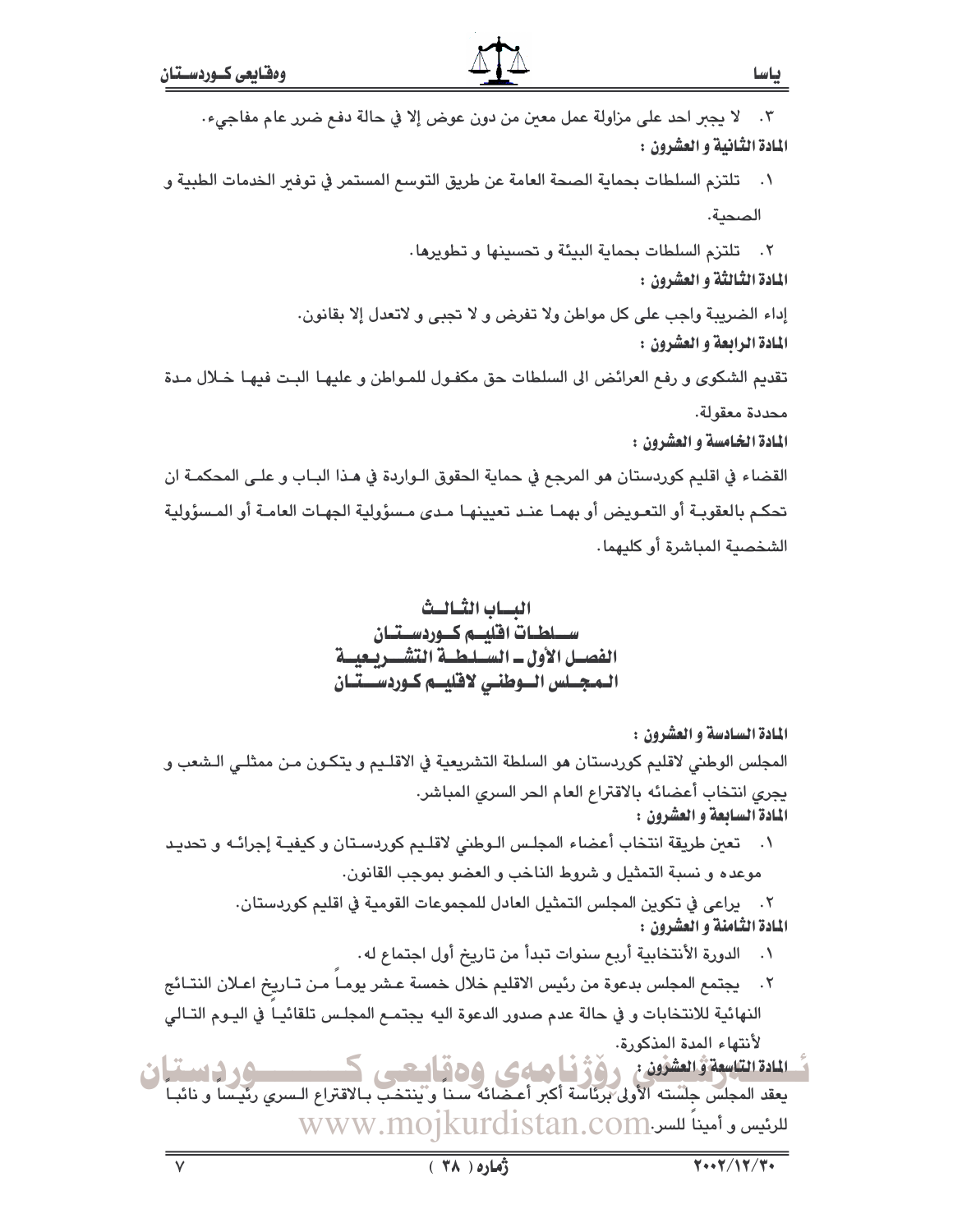المادة السادسة و العشرون :

المجلس الوطني لاقليم كوردستان هو السلطة التشريعية في الاقلـيم و يتكـون مـن ممثلـي الـشعب و يجرى انتخاب أعضائه بالاقتراع العام الحر السرى المباشر. المادة السابعة و العشرون :

١. تعين طريقة انتخاب أعضاء المجلس الـوطني لاقلـيم كوردسـتان و كيفيـة إجرائـه و تحديـد موعده و نسبة التمثيل و شروط الناخب و العضو بموجب القانون.

> ٢. يراعى في تكوين المجلس التمثيل العادل للمجموعات القومية في اقليم كوردستان. المادة الثّامنة و العشّرون :

- ٠. الدورة الأنتخابية أربع سنوات تبدأ من تاريخ أول اجتماع له.
- ٢. يجتمع المجلس بدعوة من رئيس الاقليم خلال خمسة عـشر يومـا مـن تـاريخ اعـلان النتـائج النهائية للانتخابات و في حالة عدم صدور الدعوة اليه يجتمـع المجلـس تلقائيـا في اليـوم التـالي لأنتهاء المدة المذكورة.
- ةُ المادة التناسِعة وَّالعشوُون ، ﴿ وَلَا فِي أَيْسَاسِكِ ﴾ وَلَا أَسْتَعْبِ بِٱلاقتراعِ السِّدِينِ رئيساً و نائباً<br>- يعقد المجلس جلسته الأولى برئاسة أكبر أعـضائه سـناً و ينتخب بـالاقتراع الـسري رئيساً و نائبـاً <u>وردستان</u> للائيس و أميناً للسن.www.mojkurdistan.com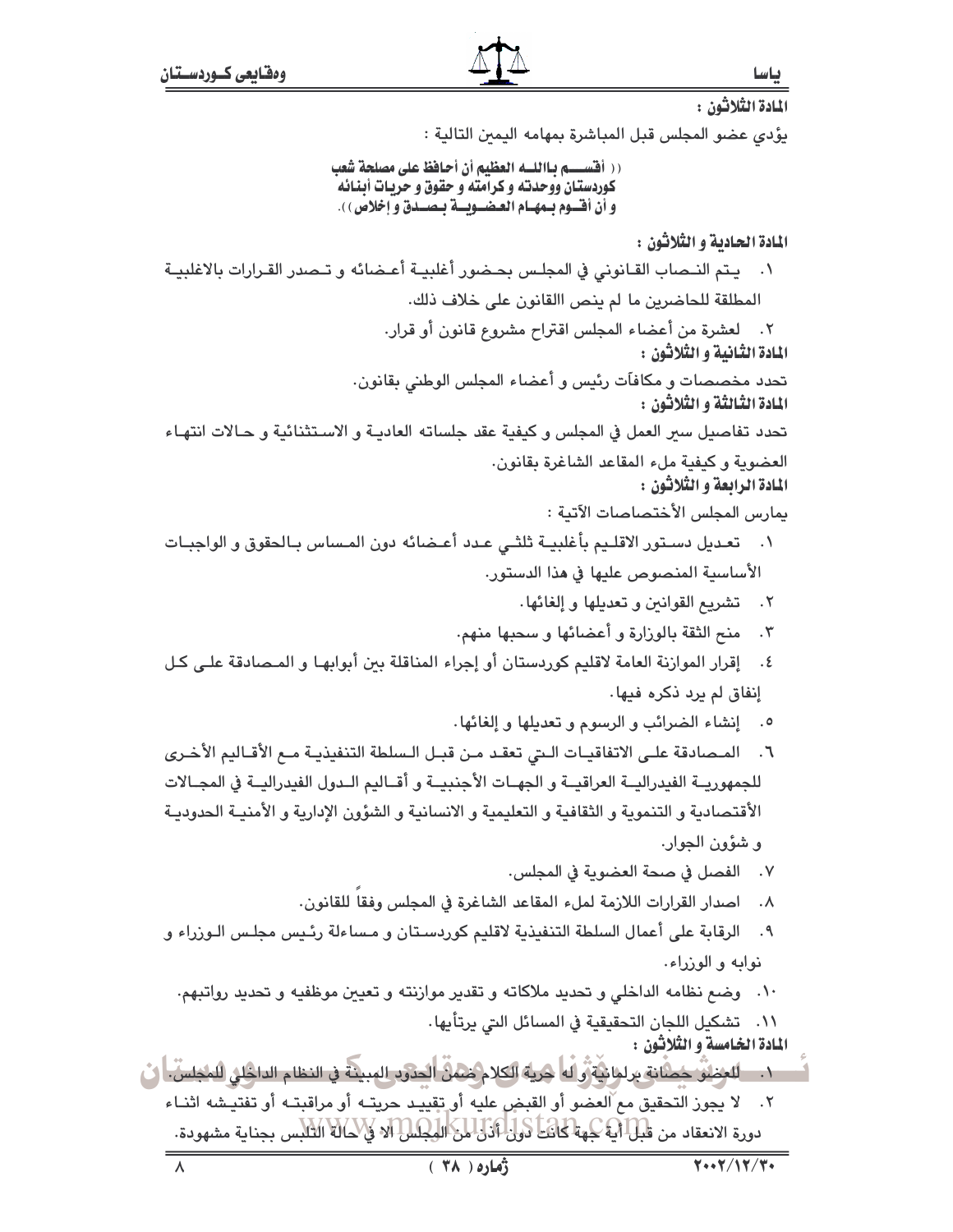المادة الثلاثون : يؤدي عضو المجلس قبل المباشرة بمهامه اليمين التالية : (( أقســــم بـااللــه العظيم أن أحافظ على مصلحة شعب كوردستان ووحدته و كرامته و حقوق و حريـات أبـنـائـه و أن أفسوم بسهـام العـضــويــة بـصــدق و إخلاص ) ). المادة الحادية و الثلاثون : ١. يتم النـصاب القـانوني في المجلـس بحـضور أغلبيـة أعـضائه و تـصدر القـرارات بالاغلبيـة المطلقة للحاضرين ما لم ينص االقانون على خلاف ذلك. ٢. لعشرة من أعضاء المجلس اقتراح مشروع قانون أو قرار. المادة الثانية و الثلاثون : تحدد مخصصات و مكافآت رئيس و أعضاء المجلس الوطني بقانون. المادة الثّالثة و الثّلاثون : تحدد تفاصيل سير العمل في المجلس و كيفية عقد جلساته العاديـة و الاسـتثنائية و حـالات انتهـاء العضوية وكيفية ملء المقاعد الشاغرة بقانون. المادة الرابعة و الثلاثون : يمارس المجلس الأختصاصات الآتية : ٠١ تعـديل دسـتور الاقلـيم بأغلبيــة ثلثــى عـدد أعــضائه دون المـساس بـالحقوق و الواجبـات الأساسية المنصوص عليها في هذا الدستور. ٢. تشريع القوانين وتعديلها وإلغائها. ٣. منح الثقة بالوزارة و أعضائها و سحبها منهم. ٤. إقرار الموازنة العامة لاقليم كوردستان أو إجراء المناقلة بين أبوابهـا و المـصادقة علـى كـل إنفاق لم يرد ذكره فيها. ٥. ﴿ إِنشَاءِ الضَّرَائِبِ وَ الرِّسُومِ وَ تَعْدِيلُهَا وَ إِلْغَائِهَا. ٦. المـصادقة علـى الاتفاقيـات الـتي تعقـد مـن قبـل الـسلطة التنفيذيـة مـع الأقـاليم الأخـري للجمهوريــة الفيدراليــة العراقيــة و الجهــات الأجنبيــة و أقــاليم الــدول الفيدراليــة في المجــالات الأقتصادية و التنموية و الثقافية و التعليمية و الانسانية و الشؤون الإدارية و الأمنيـة الحدوديـة و شؤون الجوار. ٧. الفصل في صحة العضوية في المجلس. ٨. اصدار القرارات اللازمة لملء المقاعد الشاغرة في المجلس وفقا للقانون. ٩. الرقابة على أعمال السلطة التنفيذية لاقليم كوردستان و مساءلة رئيس مجلس الوزراء و نوابه و الوزراء. ١٠. وضع نظامه الداخلي و تحديد ملاكاته و تقدير موازنته و تعيين موظفيه و تحديد رواتبهم. ٠١١ تشكيل اللجان التحقيقية في المسائل التي يرتأيها . المادة الخامسة و الثلاثون : . ١. \_ اللغطيُّ حُصَّابَةٍ براهانيَّةٍ رَّالًا هُريَّةِ الكلام مُنْمَنٌ الْحَدَوبِ المبيئةِ في النظام الداخلق للمجلسِّ. أيْ ٢. لا يجوز التحقيق مع ّالعضو أو القبضٍ عليه أو تقييد حريتـه أو مراقبتـه أو تفتيـشه اثنـاء دورة الانعقاد من قَبْلَ أَيَّةً كِهَةَ كَانَتَ ذَولَ أَنْزَلَ مِنَ الْهِكِسُلَ أَلَا فَإِنَّكَمَانَةَ الثلبس بجناية مشهودة.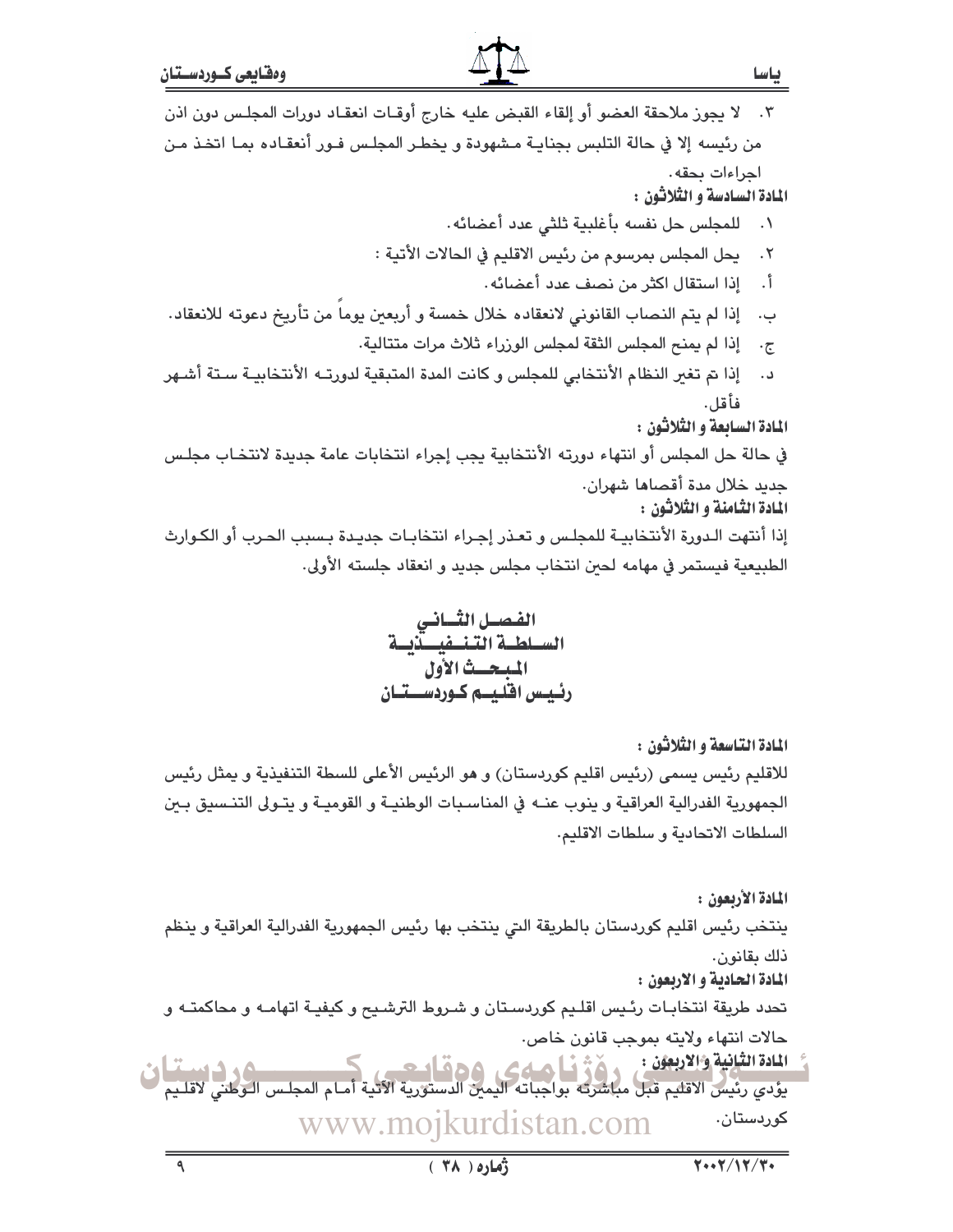## ٣. لا يجوز ملاحقة العضو أو إلقاء القبض عليه خارج أوقـات انعقـاد دورات المجلـس دون اذن من رئيسه إلا في حالة التلبس بجنايـة مـشهودة و يخطـر المجلـس فـور أنعقـاده بمـا اتخـذ مـن احراءات يحقه. المادة السادسة و الثّلاثون : ١. للمجلس حل نفسه بأغلبية ثلثي عدد أعضائه. يحل المجلس بمرسوم من رئيس الاقليم في الحالات الأتية :  $\cdot$   $\mathsf{r}$ إذا استقال اكثر من نصف عدد أعضائه.  $\overline{\phantom{a}}$ ب. [ذا لم يتم النصاب القانوني لانعقاده خلال خمسة و أربعين يوماً من تأريخ دعوته للانعقاد. إذا لم يمنح المجلس الثقة لمجلس الورراء ثلاث مرات متتالية.  $\cdot \tau$ د. إذا تم تغير النظام الأنتخابي للمجلس وكانت المدة المتبقية لدورتـه الأنتخابيـة سـتة أشـهر فأقل. المادة السابعة و الثلاثون : في حالة حل المجلس أو انتهاء دورته الأنتخابية يجب إجراء انتخابات عامة جديدة لانتخاب مجلس جديد خلال مدة أقصاها شهران. المادة الثّامنة و الثّلاثون : إذا أنتهت الـدورة الأنتخابيـة للمجلس و تعـذر إجـراء انتخابـات جديـدة بـسبب الحـرب أو الكـوارث الطبيعية فيستمر في مهامه لحبن انتخاب مجلس جديد و انعقاد جلسته الأولى.

الفصل الثسانى السلطية التنيفية بدلة المبحث الأول رئيس اقليس كوردستتان

المادة التاسعة و الثلاثون : للاقليم رئيس يسمى (رئيس اقليم كوردستان) و هو الرئيس الأعلى للسطة التنفيذية و يمثل رئيس الجمهورية الفدرالية العراقية و ينوب عنــه في المناسـبات الوطنيــة و القوميــة و يتـولى التنـسيق بـين السلطات الاتحادية وسلطات الاقليم.

المادة الأربعون : ينتخب رئيس اقليم كوردستان بالطريقة التي ينتخب بها رئيس الجمهورية الفدرالية العراقية و ينظم ذلك بقانون. المادة الحادية و الاربعون : تحدد طريقة انتخابـات رئـيس اقلـيم كوردسـتان و شـروط الترشـيح و كيفيـة اتهامـه و محاكمتـه و حالات انتهاء ولايته بموجب قانون خاص. المادة الثّانية والاربعون :<br>يؤدي رئيس الاقليم قبل مباشرته بواجباته اليمين الدستورية الآتية أمـام المجلـس الـوطني لاقلـيم لــــــــــــــــ<br>يؤدي رئيس الاقليم قبل مباشرته بواجباته اليمين الدستورية الآتية أمـام المجلـس الـوط المادة الثانية والاربعون :

www.mojkurdistan.com کوردستان.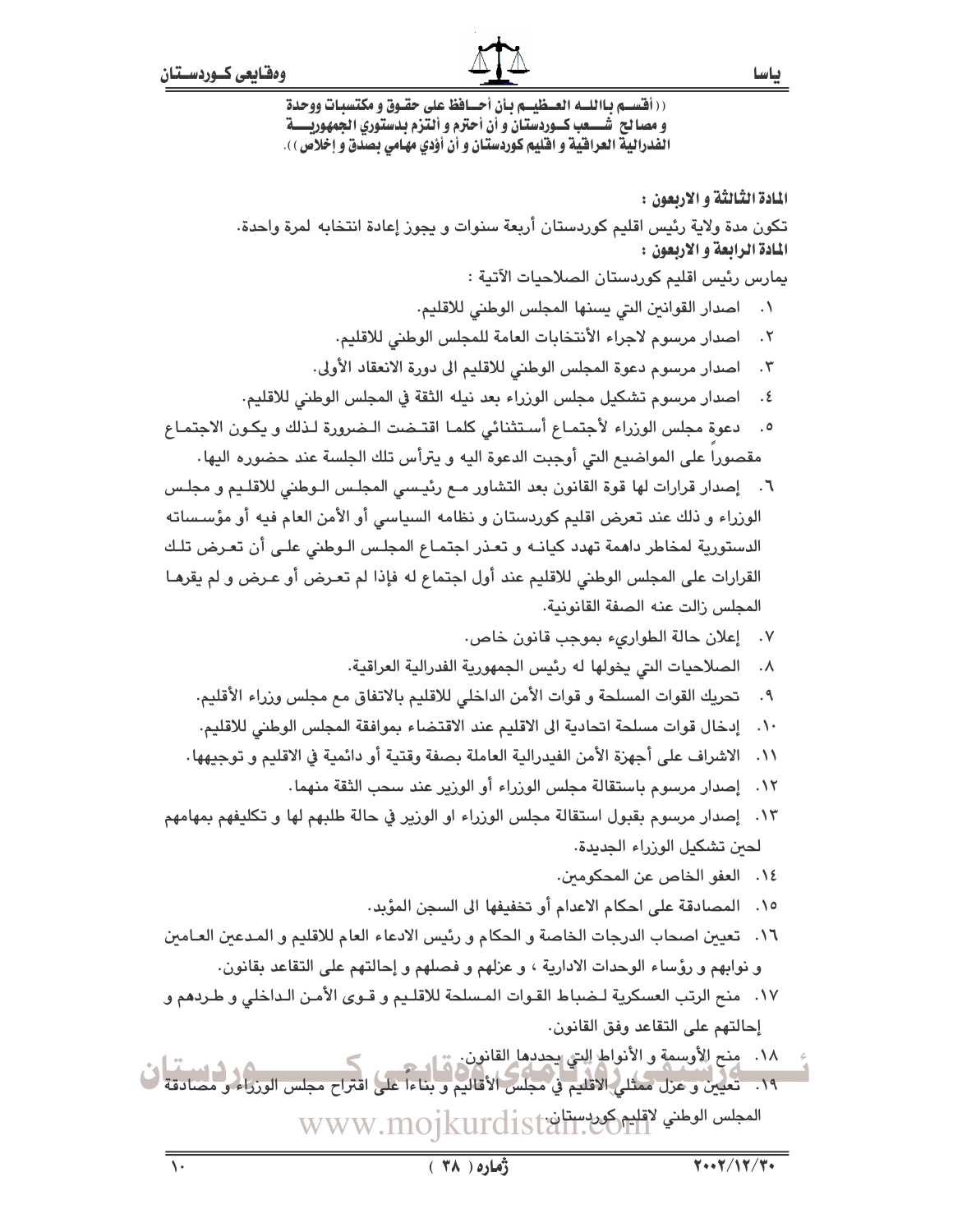باسا

((أقســم بـااللــه العــظيــم بـأن أحــافظ على حقـوق و مكتسبـات ووحدة و مصا لح شــــعب كــوردستان و أن أحترم و ألتزم بدستوري الجمهوريــــة الفدرالية العراقية و اقليم كوردستان و أن أؤدي مهامي بصدق و إخلاص ) .

المادة الثّالثّة و الاربعون : تكون مدة ولاية رئيس اقليم كوردستان أربعة سنوات و يجوز إعادة انتخابه لمرة واحدة. المادة الرابعة و الاربعون : يمارس رئيس اقليم كوردستان الصلاحيات الآتية : ٠١ - اصدار القوانين التي يسنها المجلس الوطني للاقليم. ٢. اصدار مرسوم لاجراء الأنتخابات العامة للمجلس الوطنى للاقليم. ٢. اصدار مرسوم دعوة المجلس الوطني للاقليم الى دورة الانعقاد الأولى. ٤. اصدار مرسوم تشكيل مجلس الوزراء بعد نيله الثقة في المجلس الوطني للاقليم. دعوة مجلس الوزراء لأجتماع أستثنائي كلما اقتـضت الـضرورة لـذلك ويكـون الاجتمـاع  $\cdot$ .0 مقصورا على المواضيع التي أوجبت الدعوة اليه و يترأس تلك الجلسة عند حضوره اليها . ٦. إصدار قرارات لها قوة القانون بعد التشاور مـم رئيـسى المجلـس الـوطني للاقلـيم و مجلـس الوزراء و ذلك عند تعرض اقليم كوردستان و نظامه السياسي أو الأمن العام فيه أو مؤسساته الدستورية لمخاطر داهمة تهدد كيانـه و تعـذر اجتمـاع المجلـس الـوطني علـى أن تعـرض تلـك القرارات على المجلس الوطني للاقليم عند أول اجتماع له فإذا لم تعرض أو عرض و لم يقرهـا المجلس زالت عنه الصفة القانونية. ٧. إعلان حالة الطوارىء بموجب قانون خاص. ٨. الصلاحيات التي يخولها له رئيس الجمهورية الفدرالية العراقية. ٩. تحريك القوات المسلحة و قوات الأمن الداخلي للاقليم بالاتفاق مع مجلس وزراء الأقليم. ١٠. إدخال قوات مسلحة اتحادية الى الاقليم عند الاقتضاء بموافقة المجلس الوطني للاقليم. ١١. الاشراف على أجهزة الأمن الفيدرالية العاملة بصفة وقتية أو دائمية في الاقليم و توجيهها. ١٢. إصدار مرسوم باستقالة مجلس الوزراء أو الوزير عند سحب الثقة منهما. ١٣. إصدار مرسوم بقبول استقالة مجلس الوزراء او الوزير في حالة طلبهم لها و تكليفهم بمهامهم لحين تشكيل الوزراء الجديدة. ١٤. العفو الخاص عن المحكومين. ١٥. المصادقة على احكام الاعدام أو تخفيفها الى السجن المؤبد. ١٦. تعيين اصحاب الدرجات الخاصة و الحكام و رئيس الادعاء العام للاقليم و المـدعين العـامين و نوابهم و رؤساء الوحدات الادارية ، و عزلهم و فصلهم و إحالتهم على التقاعد بقانون. ١٧. منح الرتب العسكرية لـضباط القـوات المـسلحة للاقلـيم و قـوى الأمـن الـداخلي و طـردهم و إحالتهم على التقاعد وفق القانون. .<br>١٨. منح الأوسمة و الأنواط إليتي يحددها القانون. من الم ١٩.<br>١٩. تعيين و عزل ممثلي الاقليم في مجلس الأقاليم و بناءاً على اقتراح مجلس الوزراء و مصادقة المجلس الوطني لاقليم كوردستان WWW.mojkurdist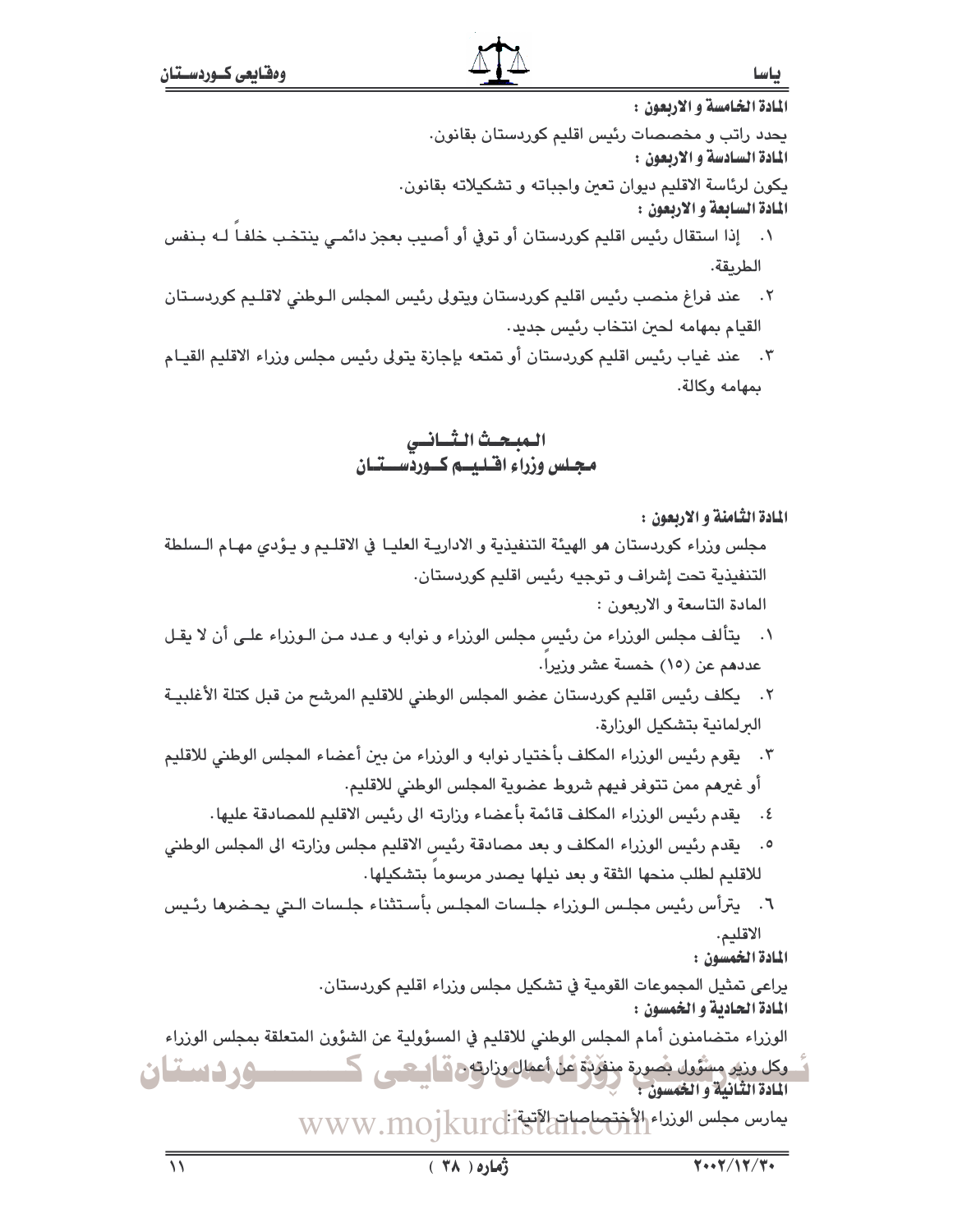باسا

المادة الخامسة و الاربعون : يحدد راتب و مخصصات رئيس اقليم كوردستان بقانون. المادة السادسة و الاربعون : يكون لرئاسة الاقليم ديوان تعبن واجباته و تشكيلاته بقانون. المادة السابعة و الاربعون : ١. إذا استقال رئيس اقليم كوردستان أو توفي أو أصيب بعجز دائمـي ينتخب خلفـا لـه بـنفس

- الطريقة. عند فراغ منصب رئيس اقليم كوردستان ويتولى رئيس المجلس الـوطني لاقلـيم كوردسـتان  $\cdot$   $\cdot$   $\cdot$ 
	- القيام بمهامه لحين انتخاب رئيس جديد.
- ٣. عند غياب رئيس اقليم كوردستان أو تمتعه بإجازة يتولى رئيس مجلس وزراء الاقليم القيـام بمهامه وكالة.

المبحث الثسانس مجلس وزراء اقتليتم كتوردستتنان

المادة الثّامنة و الاربعون :

- مجلس وزراء كوردستان هو الهيئة التنفيذية و الاداريـة العليـا في الاقلـيم و يـؤدى مهـام الـسلطة التنفيذية تحت إشراف و توجيه رئيس اقليم كوردستان.
	- المادة التاسعة و الاربعون :
- ١. يتألف مجلس الوزراء من رئيس مجلس الوزراء و نوابه و عـدد مـن الـوزراء علـى أن لا يقـل عددهم عن (١٥) خمسة عشر وزيرا.
- ٢. يكلف رئيس اقليم كوردستان عضو المجلس الوطني للاقليم المرشح من قبل كتلة الأغلبيـة الىرلمانية بتشكيل الوزارة.
- ٣. يقوم رئيس الوزراء المكلف بأختيار نوابه و الوزراء من بين أعضاء المجلس الوطني للاقليم أو غيرهم ممن تتوفر فيهم شروط عضوية المجلس الوطني للاقليم.
	- ٤. يقدم رئيس الوزراء المكلف قائمة بأعضاء وزارته الى رئيس الاقليم للمصادقة عليها.
- ٥. يقدم رئيس الوزراء المكلف و بعد مصادقة رئيس الاقليم مجلس وزارته الى المجلس الوطني للاقليم لطلب منحها الثقة و بعد نيلها يصدر مرسوما بتشكيلها.
- ٦. يترأس رئيس مجلس الـوزراء جلـسات المجلـس بأسـتثناء جلـسات الـتى يحـضرها رئـيس الاقليم.

المادة الخمسون :

يراعي تمثيل المجموعات القومية في تشكيل مجلس وزراء اقليم كوردستان. المادة الحادية و الخمسون :

الوزراء متضامنون أمام المجلس الوطنى للاقليم في المسؤولية عن الشؤون المتعلقة بمجلس الوزراء

وكل وزير وسُنَّوَول بِصُورة مِنفَرِّدَةٌ عَلَى أَعْمَالَ وزارتهِ مِ فَـالْبِيكِينِ ۖ كَـــ ـــوردستان المادة الثانية والخمسون : يمارس مجلس الوزراء الأختصاصات المنافى WWW.MOIKUrdi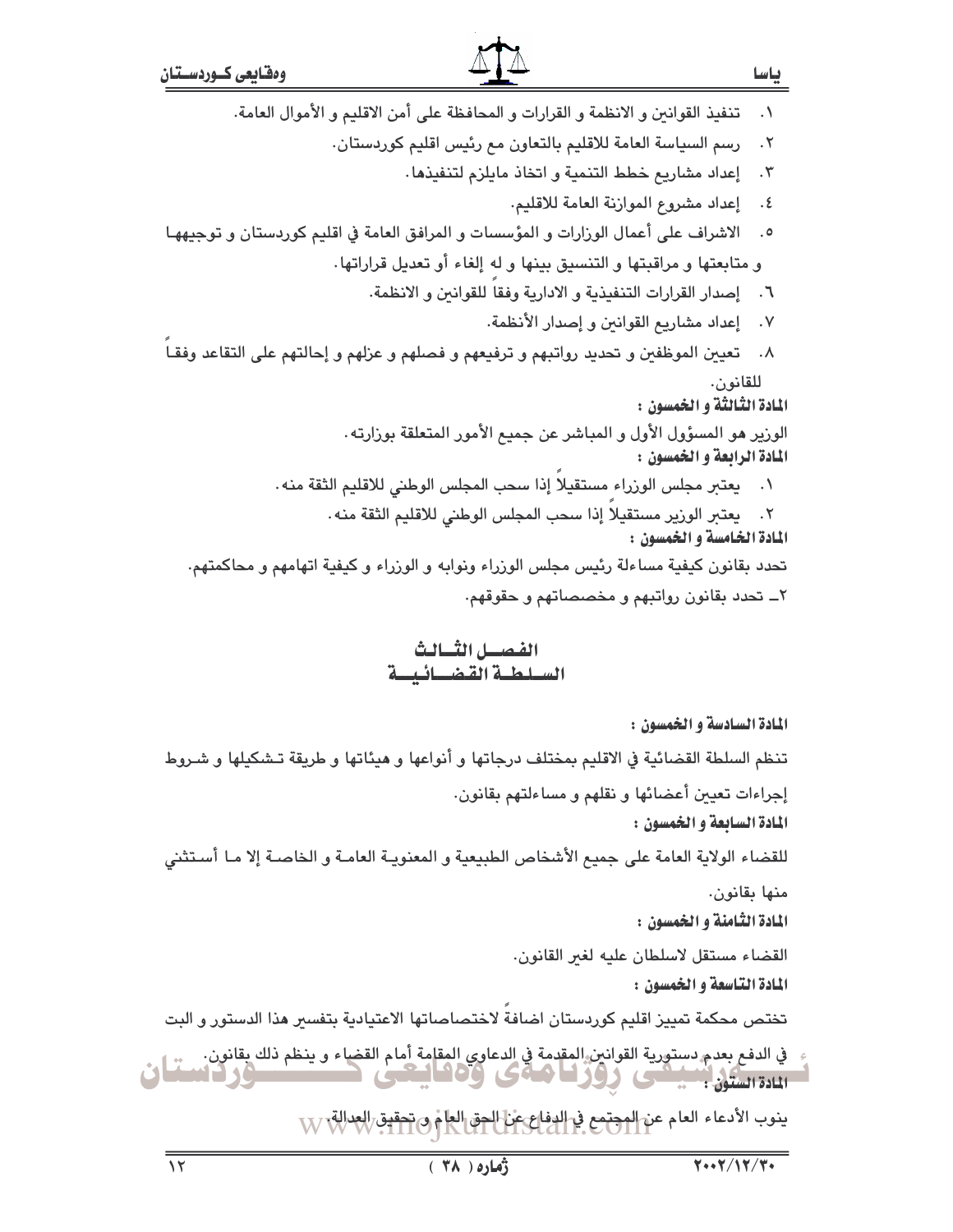تنفيذ القوانين و الانظمة و القرارات و المحافظة على أمن الاقليم و الأموال العامة.  $\cdot$ 

> رسم السياسة العامة للاقليم بالتعاون مع رئيس اقليم كوردستان.  $\cdot$   $\mathsf{r}$

> > ٣. [عداد مشاريع خطط التنمية و اتخاذ مايلزم لتنفيذها.

٤. إعداد مشروع الموازنة العامة للاقليم.

الاشراف على أعمال الوزارات و المؤسسات و المرافق العامة في اقليم كوردستان و توجيههـا  $\cdot$ .0 و متابعتها و مراقبتها و التنسيق بينها و له إلغاء أو تعديل قراراتها.

٦. إصدار القرارات التنفيذية و الادارية وفقا للقوانين و الانظمة.

٧. إعداد مشاريع القوانين و إصدار الأنظمة.

٨. تعيين الموظفين و تحديد رواتبهم و ترفيعهم و فصلهم و عزلهم و إحالتهم على التقاعد وفقـاً للقانون.

المادة الثَّالثَّة و الخمسون :

الورير هو المسؤول الأول و المباشر عن جميع الأمور المتعلقة بورارته . المادة الرابعة و الخمسون :

- ٠١ يعتبر مجلس الورراء مستقيلا إذا سحب المجلس الوطني للاقليم الثقة منه.
- ٢. يعتبر الورير مستقيلا إذا سحب المجلس الوطني للاقليم الثقة منه.

المادة الخامسة و الخمسون : تحدد بقانون كيفية مساءلة رئيس مجلس الوزراء ونوابه و الوزراء و كيفية اتهامهم و محاكمتهم. ٢\_ تحدد بقانون رواتبهم و مخصصاتهم و حقوقهم.

### الفصيل الثسالث السلطة القضائيسة

المادة السادسة و الخمسون :

تنظم السلطة القضائية في الاقليم بمختلف درجاتها و أنواعها و هيئاتها و طريقة تـشكيلها و شـروط إجراءات تعيين أعضائها و نقلهم و مساءلتهم بقانون.

المادة السابعة و الخمسون :

للقضاء الولاية العامة على جميع الأشخاص الطبيعية و المعنويـة العامـة و الخاصـة إلا مـا أسـتثنى منها بقانون.

المادة الثّامنة و الخمسون :

القضاء مستقل لاسلطان عليه لغىر القانون.

المادة التاسعة و الخمسون :

تختص محكمة تمييز اقليم كوردستان اضافة لاختصاصاتها الاعتيادية بتفسير هذا الدستور و البت

في الدفع بعدم دستورية القوانين المقدمة في الدعاوي المقامة أمام القضاء و ينظم ذلك بقانون.<br>المادة الستون بتسبيقي للمركز المتحدة في الدعاوي المقامة أمام القضاء و ينظم ذلك بقانون.

ينوب الأدعاء العام عن المجتمع في الدفاع عن الحق العام و تحقيق العدالة: W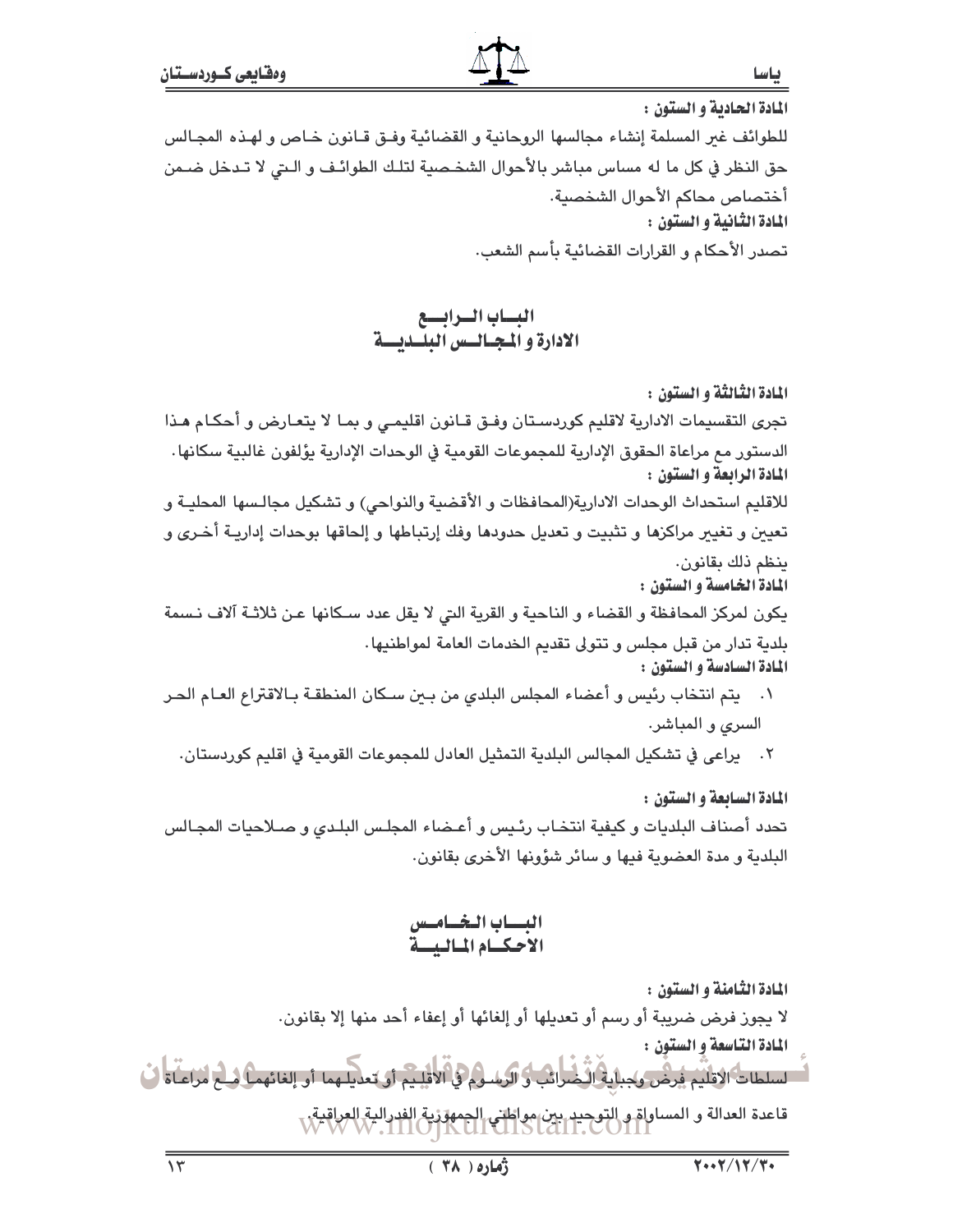المادة الحادية و الستون : للطوائف غير المسلمة إنشاء مجالسها الروحانية و القضائية وفـق قـانون خـاص و لهـذه المجـالس حق النظر في كل ما له مساس مباشر بالأحوال الشخصية لتلك الطوائـف و الـتي لا تـدخل ضـمن أختصاص محاكم الأحوال الشخصية. المادة الثانية و الستون : تصدر الأحكام و القرارات القضائية بأسم الشعب.

البساب السرابسع<br>الادارة و المجتاليس البلسديسية

المادة الثّالثّة و الستون : تجري التقسيمات الادارية لاقليم كوردستان وفـق قـانون اقليمـي و بمـا لا يتعـارض و أحكـام هـذا الدستور مع مراعاة الحقوق الإدارية للمجموعات القومية في الوحدات الإدارية يؤلفون غالبية سكانها . المادة الرابعة و الستون : للاقليم استحداث الوحدات الادارية(المحافظات و الأقضية والنواحي) و تشكيل مجالـسها المحليـة و تعيين و تغيير مراكزها و تثبيت و تعديل حدودها وفك إرتباطها و إلحاقها بوحدات إداريـة أخـرى و ينظم ذلك بقانون. المادة الخامسة و الستون : يكون لمركز المحافظة و القضاء و الناحية و القرية التي لا يقل عدد سكانها عـن ثلاثـة آلاف نـسمة بلدية تدار من قبل مجلس و تتولى تقديم الخدمات العامة لمواطنيها . المادة السادسة و الستون : ٠١ \_ يتم انتخاب رئيس و أعضاء المجلس البلدي من بين سـكان المنطقـة بـالاقتراع العـام الحـر

- السرى و المباشر.
- ٢. يراعي في تشكيل المجالس البلدية التمثيل العادل للمجموعات القومية في اقليم كوردستان.

المادة السابعة و الستون : تحدد أصناف البلديات و كيفية انتخاب رئيس و أعـضاء المجلس البلـدي و صـلاحيات المجـالس البلدية و مدة العضوية فيها و سائر شؤونها الأخرى بقانون.

البسياب البخساميس<br>الاحكسام المياليسية

المادة الثّامنة و الستون :

لا يجوز فرض ضريبة أو رسم أو تعديلها أو إلغائها أو إعفاء أحد منها إلا بقانون.

المادة التاسعة و الستون : السلطاتُ الاقلَيْمِ فَرِضْ وَجِبائِهِ الْخُبْرَانَبِ وَ الرَسُلُومِ وَ الاقلِيمِ أَو تعديلهما أو إلغائهما فيلم لزاعناه ف .<br>قاعدة العدالة و المساواة و التوحيد بين مواطني الجمهوّزية الفدرالية العراقية.<br>- W W M . I I O J K UI CII S LOI I . COII I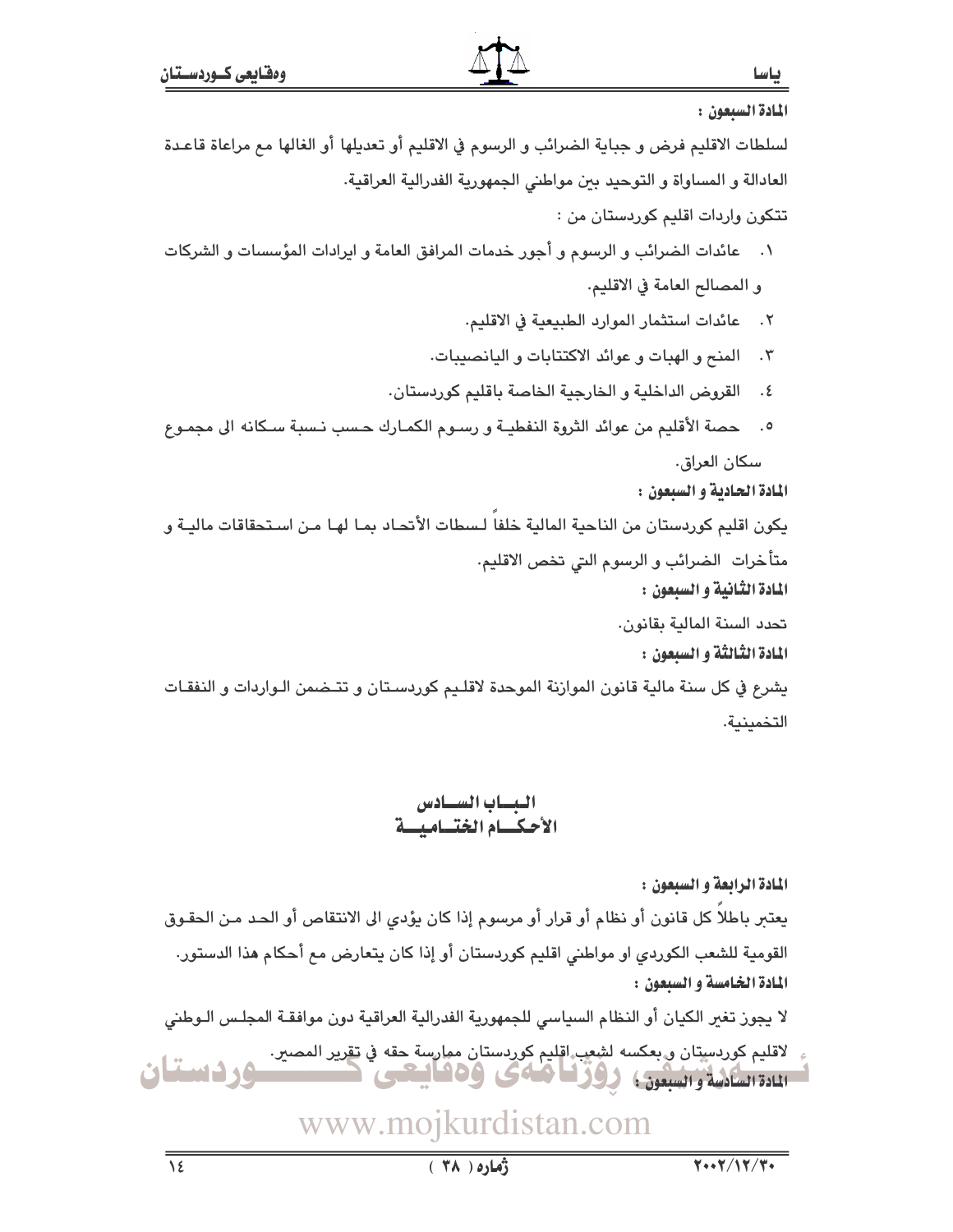المادة السيعون : لسلطات الاقليم فرض و جباية الضرائب و الرسوم في الاقليم أو تعديلها أو الغالها مع مراعاة قاعدة العادالة و المساواة و التوحيد بين مواطني الجمهورية الفدرالية العراقية. تتکون واردات اقلیم کوردستان من : ١. عائدات الضرائب و الرسوم و أجور خدمات المرافق العامة و ايرادات المؤسسات و الشركات و المصالح العامة في الاقليم. ٢. عائدات استثمار الموارد الطبيعية في الاقليم. ٣. المنح و الهبات و عوائد الاكتتابات و اليانصيبات. ٤. القروض الداخلية و الخارجية الخاصة باقليم كوردستان. حصة الأقليم من عوائد الثروة النفطيـة و رسـوم الكمـارك حـسب نـسبة سـكانه الى مجمـوع  $\cdot$ . سكان العراق. المادة الحادية و السيعون : يكون اقليم كوردستان من الناحية المالية خلفا لـسطات الأتحـاد بمـا لهـا مـن اسـتحقاقات ماليـة و متأخرات الضرائب و الرسوم التي تخص الاقليم. المادة الثانية و السبعون : تحدد السنة المالية بقانون. المادة الثِّالثَّة و السبعون : يشرع في كل سنة مالية قانون الموازنة الموحدة لاقلـيم كوردسـتان و تتـضمن الـواردات و النفقـات التخمينية. البساب السسادس

# الأحكسام الختساميسة

المادة الرابعة و السيعون : يعتبر باطلاً كل قانون أو نظام أو قرار أو مرسوم إذا كان يؤدي الى الانتقاص أو الحد مـن الحقـوق القومية للشعب الكوردي او مواطني اقليم كوردستان أو إذا كان يتعارض مم أحكام هذا الدستور. المادة الخامسة و السبعون : لا يجوز تغير الكيان أو النظام السياسي للجمهورية الفدرالية العراقية دون موافقـة المجلـس الـوطني

لاقليم كوردسيتان و بعكسه لشعب اقليم كوردستان ممارسة حقه في تقرير المصير. تسهردستان 11431444 والسبعون ووزيا هاى وهفايتعى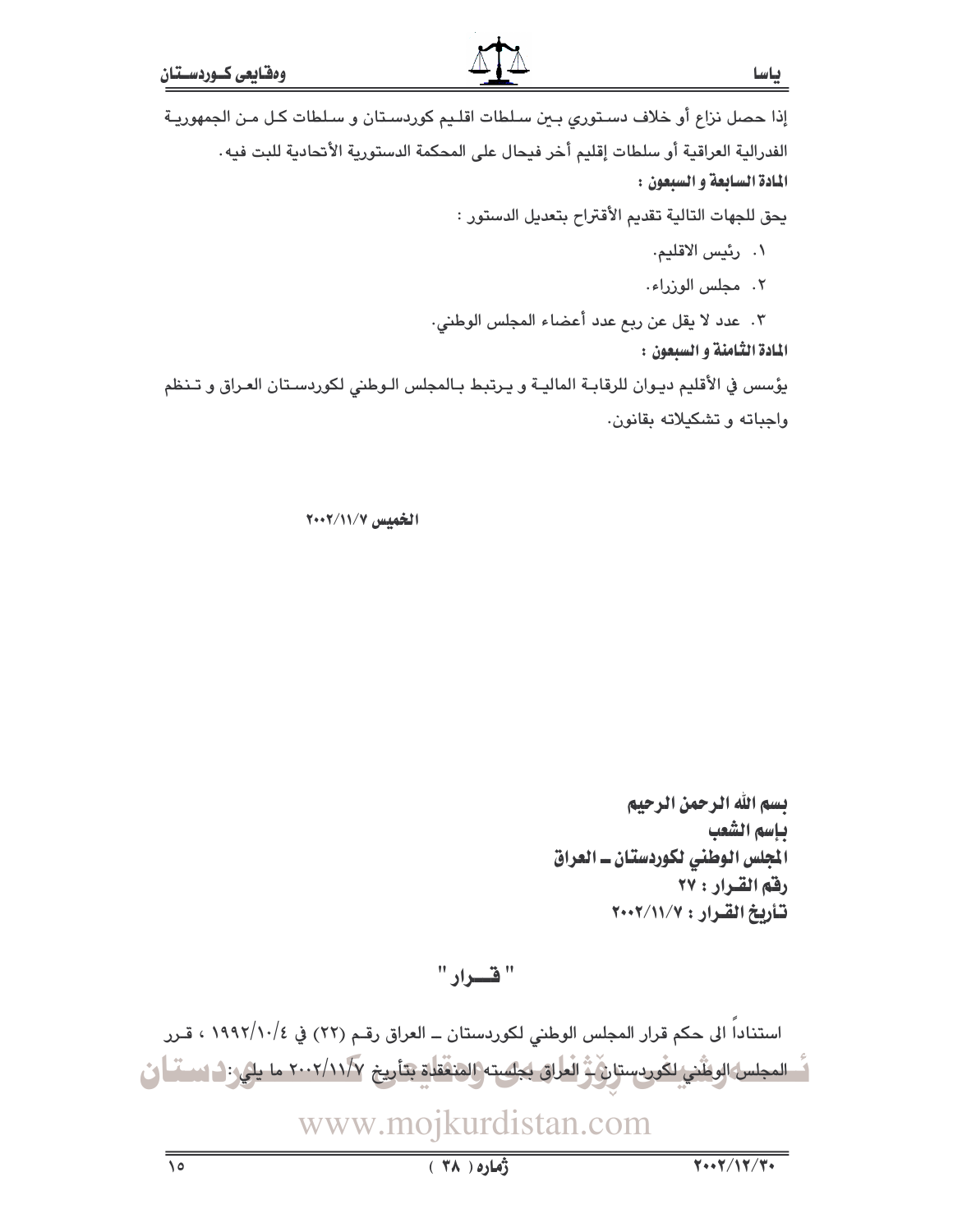ياسا

إذا حصل نزاع أو خلاف دستوري بين سلطات اقليم كوردستان و سلطات كل من الجمهورية الفدرالية العراقية أو سلطات إقليم أخر فيحال على المحكمة الدستورية الأتحادية للبت فيه. المادة السابعة و السيعون :

يحق للجهات التالية تقديم الأقتراح بتعديل الدستور :

- ١. رئيس الاقليم.
- ٢. محلس الوزراء.
- ٣. عدد لا يقل عن ربع عدد أعضاء المجلس الوطني.

المادة الثامنة و السبعون :

يؤسس في الأقليم ديـوان للرقابـة الماليـة و يـرتبط بـالمجلس الـوطني لكوردسـتان العـراق و تـنظم وإحباته وتشكيلاته يقانون.

الخميس ١١/٧/١٢٠٠٢

بسم الله الرحمن الرحيم بإسم الشعب المجلس الوطني لكوردستان ـ العراق رفم القرار : ٢٧ تأريخ القرار: ٢٠٠٢/١١/٧

" فسيراد "

استناداً الى حكم قرار المجلس الوطني لكوردستان ــ العراق رقـم (٢٢) في ١٩٩٢/١٠/٤ ، قـرر اً - المجلس الوظني لكوردستان بُّ العلاق لِجلسته (المنققلة بتأريخ ٢٠٠٢/١١/٧ ما يلي: ١- استما ان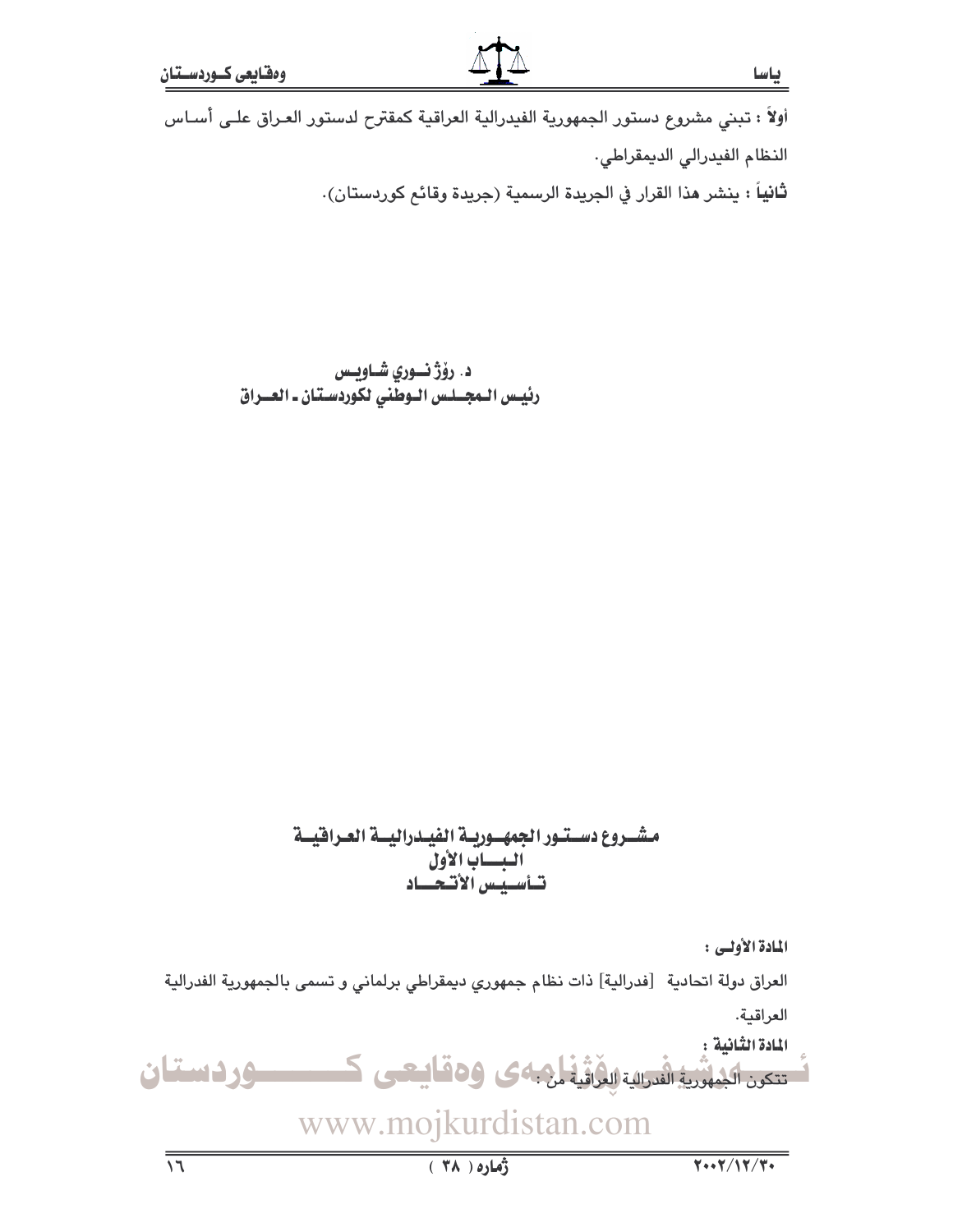أولاً : تبنى مشروع دستور الجمهورية الفيدرالية العراقية كمقترح لدستور العـراق علـى أسـاس النظام الفيدرالي الديمقراطي. **ثانياً :** ينشر هذا القرار في الجريدة الرسمية (جريدة وقائع كوردستان).

> د. رۆژ نورى شـاويـس رئيس الـمجــلـس الـوطّنى لكوردسـتان ـ العــراق

### مشــروع دســتــور الجمهـــوريــة الفيــدراليـــة العــرافيـــة البساب الأول تساسييس الأتبعساد

المادة الأولى :

العراق دولة اتحادية [فدرالية] ذات نظام جمهوري ديمقراطي برلماني و تسمى بالجمهورية الفدرالية

العراقية.

المادة الثنائية : تتکرن اکیلڈریڈ انڈرائیۃ الوُرائیۃ ان کی وہ قایتھی ک ـــوردستان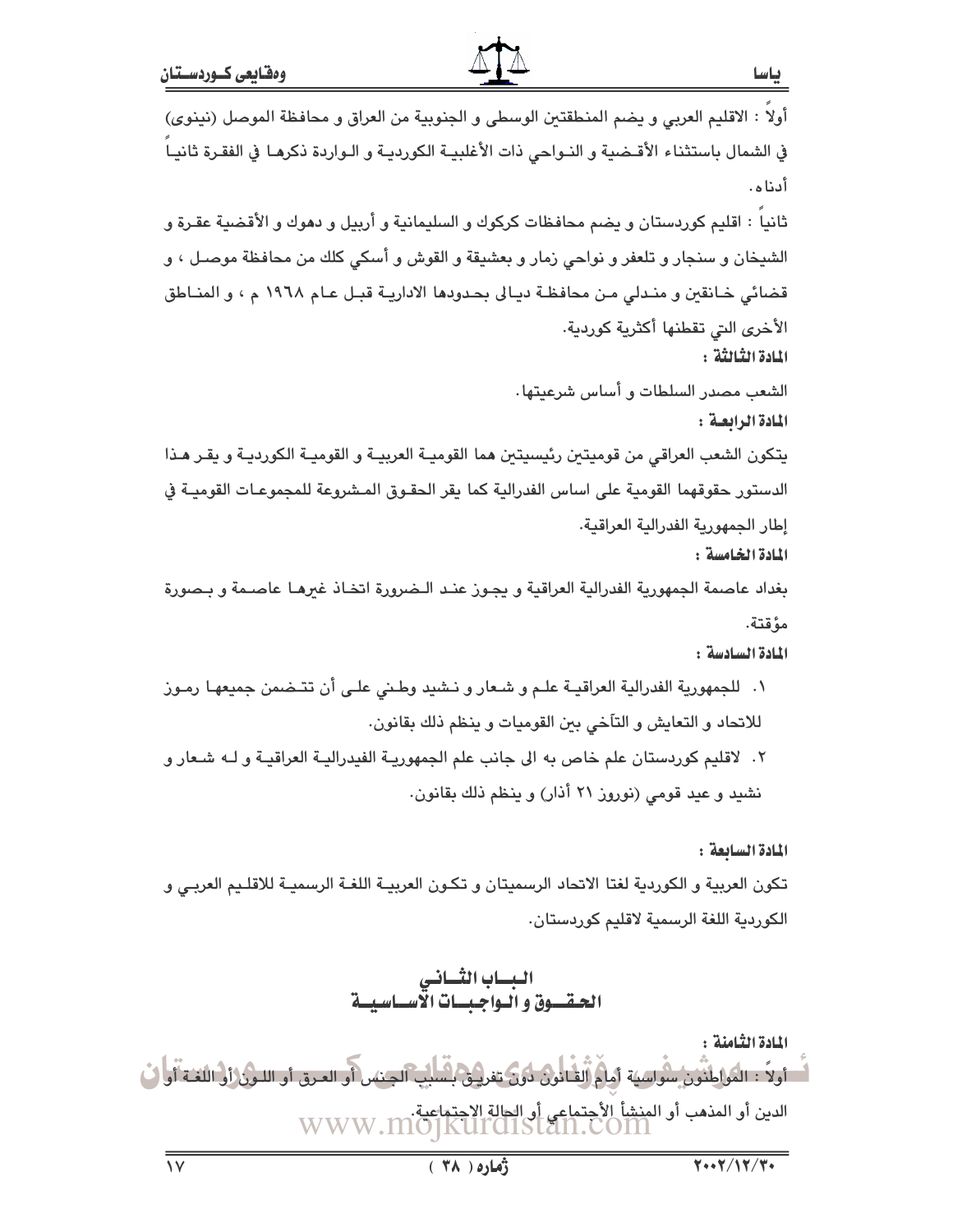أولا : الاقليم العربي و يضم المنطقتين الوسطى و الجنوبية من العراق و محافظة الموصل (نينوي) في الشمال باستثناء الأقـضية و النـواحى ذات الأغلبيـة الكورديـة و الـواردة ذكرهـا فى الفقـرة ثانيـاً أدناه. ثانيا : اقليم كوردستان و يضم محافظات كركوك و السليمانية و أربيل و دهوك و الأقضية عقـرة و الشيخان و سنجار و تلعفر و نواحي زمار و بعشيقة و القوش و أسكي كلك من محافظة موصـل ، و قضائي خـانقبن و منـدلي مـن محافظـة ديـالى بحـدودها الاداريــة قبـل عـام ١٩٦٨ م ، و المنـاطق الأخرى التي تقطنها أكثرية كوردية. المادة الثِّبالثَّة : الشعب مصدر السلطات و أساس شرعيتها. المادة الرابعة : يتكون الشعب العراقي من قوميتين رئيسيتين هما القوميـة العربيـة و القوميـة الكورديـة و يقـر هـذا الدستور حقوقهما القومية على اساس الفدرالية كما يقر الحقـوق المـشروعة للمجموعـات القوميـة في إطار الجمهورية الفدرالية العراقية. المادة الخامسة :

بغداد عاصمة الجمهورية الفدرالية العراقية و يجـوز عنـد الـضرورة اتخـاذ غيرهـا عاصـمة و بـصورة مؤقتة.

المادة السادسة :

١. للجمهورية الفدرالية العراقيــة علـم و شـعار و نــشيد وطـني علـي أن تتــضمن جميعهـا رمـوز للاتحاد و التعايش و التآخي بين القوميات و ينظم ذلك بقانون. ٢. لاقليم كوردستان علم خاص به الى جانب علم الجمهوريـة الفيدراليـة العراقيـة و لــه شـعار و نشيد و عيد قومي (نوروز ٢١ أذار) و ينظم ذلك بقانون.

المادة السابعة : تكون العربية و الكوردية لغتا الاتحاد الرسميتان و تكـون العربيــة اللغــة الرسميــة للاقلـيم العربــي و الكوردية اللغة الرسمية لاقليم كوردستان.

> البساب الثساني الحقسوق والبواجيسات الاسساسيسة

المادة الثامنة : الدين أو المذهب أو المنشأ الأحتماعي أو الحالة الاجتماعية.<br>WWW.MOJKUITOISTAN.COM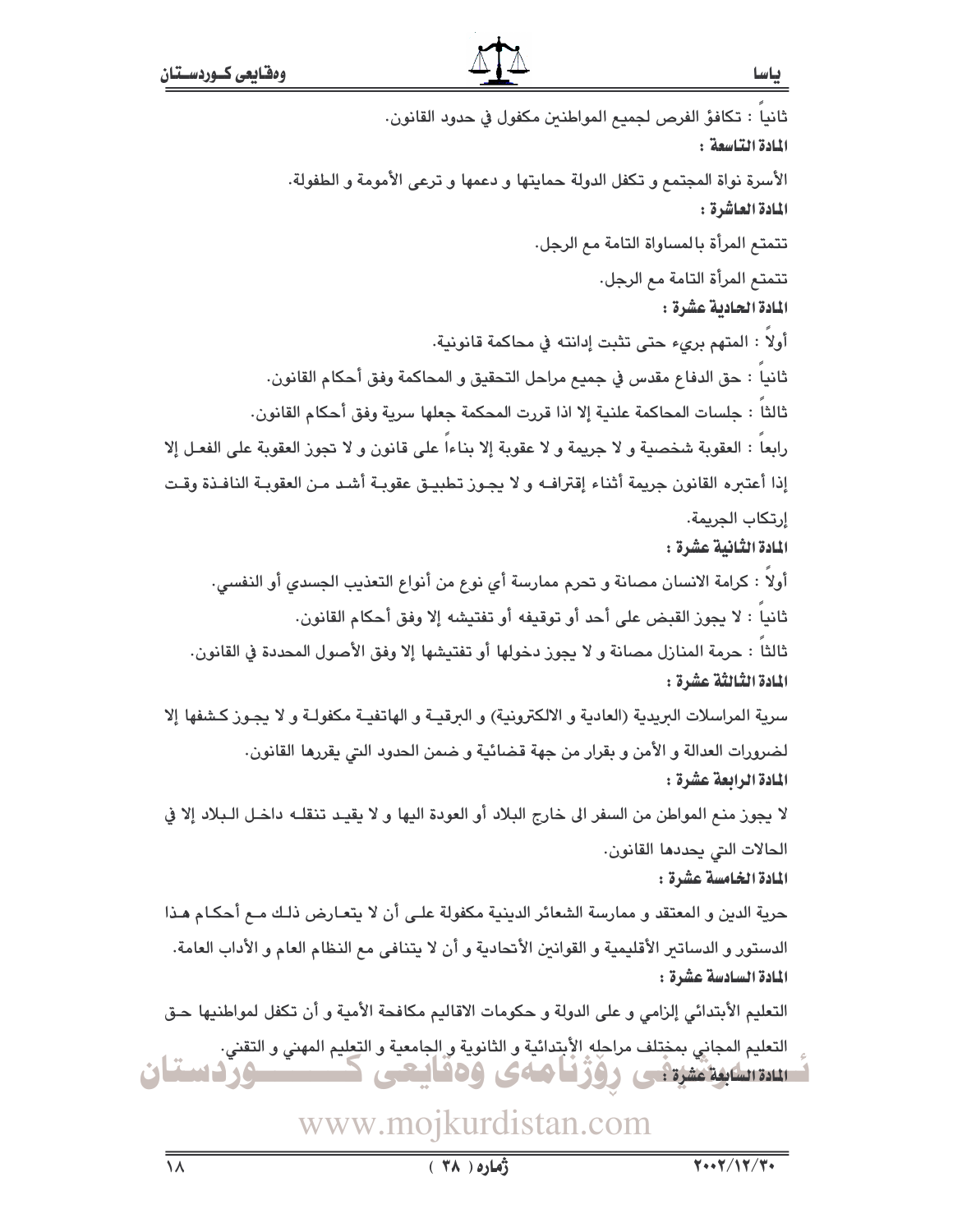ثانيا : تكافؤ الفرص لجميع المواطنين مكفول في حدود القانون. المادة التاسعة: الأسرة نواة المجتمع و تكفل الدولة حمايتها و دعمها و ترعى الأمومة و الطفولة. المادة العاشرة : تتمتع المرأة بالمساواة التامة مع الرجل. تتمتم المرأة التامة مم الرجل. المادة الحادية عشرة : أولاً : المتهم برىء حتى تثبت إدانته في محاكمة قانونية. ثانياً : حق الدفاع مقدس في جميع مراحل التحقيق و المحاكمة وفق أحكام القانون. ثالثاً : جلسات المحاكمة علنية إلا اذا قررت المحكمة جعلها سرية وفق أحكام القانون. رابعاً : العقوبة شخصية و لا جريمة و لا عقوبة إلا بناءاً على قانون و لا تجوز العقوبة على الفعـل إلا إذا أعتبره القانون جريمة أثناء إقترافـه و لا يجـوز تطبيـق عقوبـة أشـد مـن العقوبـة النافـذة وقـت إرتكاب الجريمة. المادة الثّانية عشرة : أولاً : كرامة الانسان مصانة و تحرم ممارسة أي نوع من أنواع التعذيب الجسدي أو النفسي. ثانياً : لا يجوز القبض على أحد أو توقيفه أو تفتيشه إلا وفق أحكام القانون. ثالثاً : حرمة المنازل مصانة و لا يجوز دخولها أو تفتيشها إلا وفق الأصول المحددة في القانون. المادة الثَّالثَّة عشَرة : سرية المراسلات البريدية (العادية و الالكترونية) و البرقيــة و الهاتفيــة مكفولــة و لا يجـوز كـشفها إلا لضرورات العدالة و الأمن و بقرار من جهة قضائية و ضمن الحدود التي يقررها القانون. المادة الرابعة عشرة : لا يجوز منع المواطن من السفر الى خارج البلاد أو العودة اليها و لا يقيـد تنقلـه داخـل الـبلاد إلا في الحالات التي يحددها القانون. المادة الخامسة عشرة : حرية الدين و المعتقد و ممارسة الشعائر الدينية مكفولة علـى أن لا يتعـارض ذلـك مـع أحكـام هـذا الدستور و الدساتير الأقليمية و القوانين الأتحادية و أن لا يتنافى مع النظام العام و الأداب العامة. المادة السادسة عشرة : التعليم الأبتدائي إلزامي و على الدولة و حكومات الاقاليم مكافحة الأمية و أن تكفل لمواطنيها حـق التعليم المجاني بمختلف مراحله الأبتدائية و الثانوية و الجامعية و التعليم المهني و التقني. ــوزدستان استنقاطية منيتي روزنا مەي ۋەئايىتى

## www.mojkurdistan.com

باسا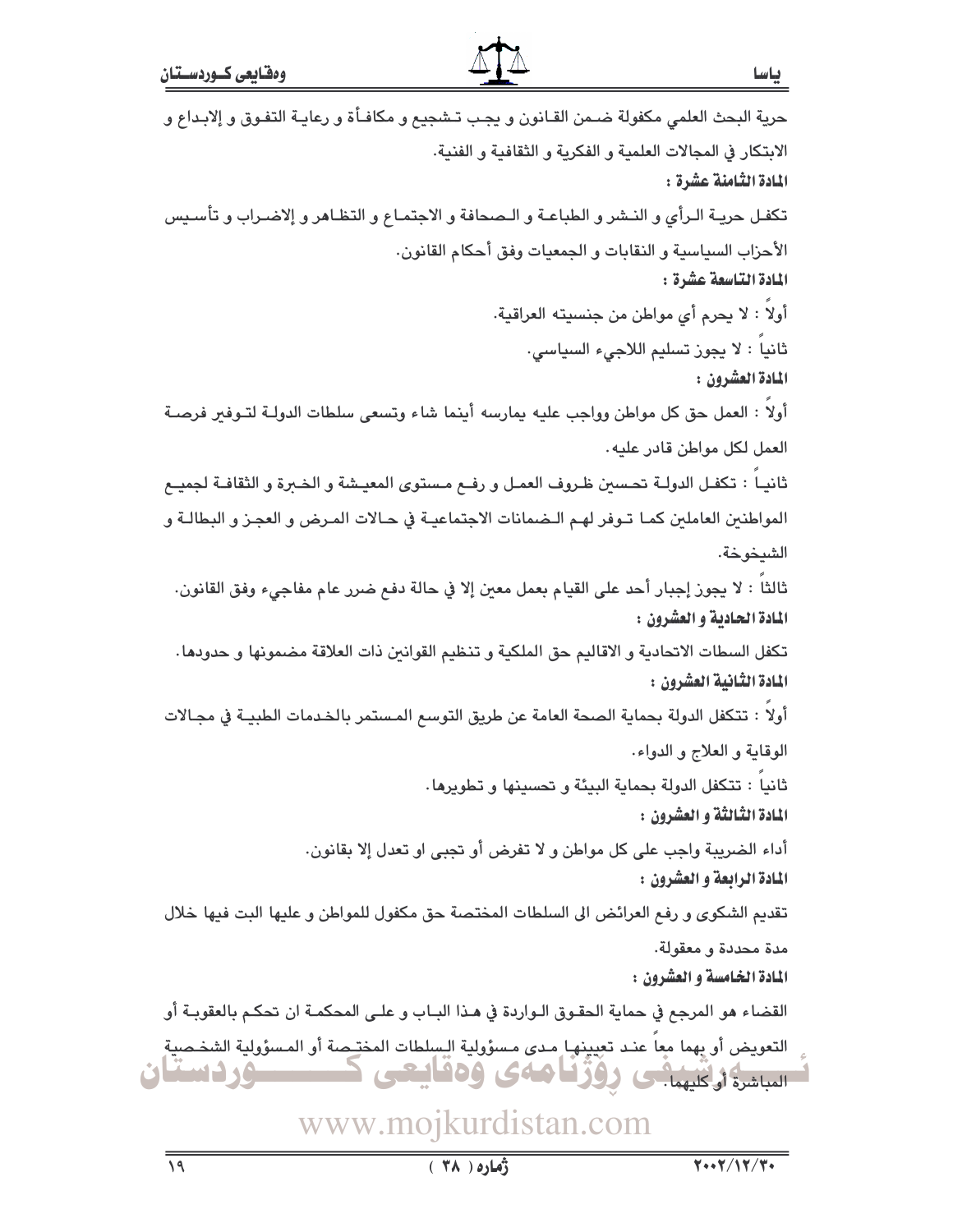حرية البحث العلمى مكفولة ضـمن القـانون و يجب تـشجيع و مكافـأة و رعايـة التفـوق و إلابـداع و الابتكار في المجالات العلمية و الفكرية و الثقافية و الفنية. المادة الثّامنة عشرة : تكفـل حريـة الـرأى و النـشر و الطباعـة و الـصحافة و الاجتمـاع و التظـاهر و إلاضـراب و تأسـيس الأحزاب السياسية و النقابات و الجمعيات وفق أحكام القانون. المادة التاسعة عشرة : أولاً : لا يحرم أي مواطن من جنسيته العراقية. ثانياً : لا يجوز تسليم اللاجيء السياسي. المادة العشرون : أولاً : العمل حق كل مواطن وواجب عليه يمارسه أينما شاء وتسعى سلطات الدولـة لتـوفـر فرصـة العمل لكل مواطن قادر عليه. ثانيـاً : تكفـل الدولـة تحـسين ظـروف العمـل و رفــم مـستوى المعيـشة و الخـبرة و الثقافـة لجميــع المواطنين العاملين كمـا تـوفر لهـم الـضمانات الاجتماعيـة في حـالات المـرض و العجـز و البطالـة و الشيخوخة. ثالثاً : لا يجوز إجبار أحد على القيام بعمل معين إلا في حالة دفع ضرر عام مفاجيء وفق القانون. المادة الحادية و العشرون : تكفل السطات الاتحادية و الاقاليم حق الملكية و تنظيم القوانين ذات العلاقة مضمونها و حدودها. المادة الثانية العشرون : أولاً : تتكفل الدولة بحماية الصحة العامة عن طريق التوسع المستمر بالخدمات الطبيـة في مجـالات الوقاية و العلاج و الدواء. ثانياً : تتكفل الدولة بحماية البيئة و تحسينها و تطويرها. المادة الثالثة و العشرون : أداء الضريبة واجب على كل مواطن و لا تفرض أو تجبي او تعدل إلا بقانون. المادة الرابعة و العشرون : تقديم الشكوى و رفع العرائض الى السلطات المختصة حق مكفول للمواطن و عليها البت فيها خلال مدة محددة و معقولة. المادة الخامسة و العشرون : القضاء هو المرجع في حماية الحقـوق الـواردة في هـذا البــاب و علــى المحكمــة ان تحكـم بالعقوبــة أو التعويض أو بهما معاً عنـد تعِيينهـا مـدى مـسؤولية الـسِلطات المختـِصة أو المـسؤولية الشخـصية الساشرة أوكليهما ووؤنا هاءى ودفايتنى **ــدوردستان**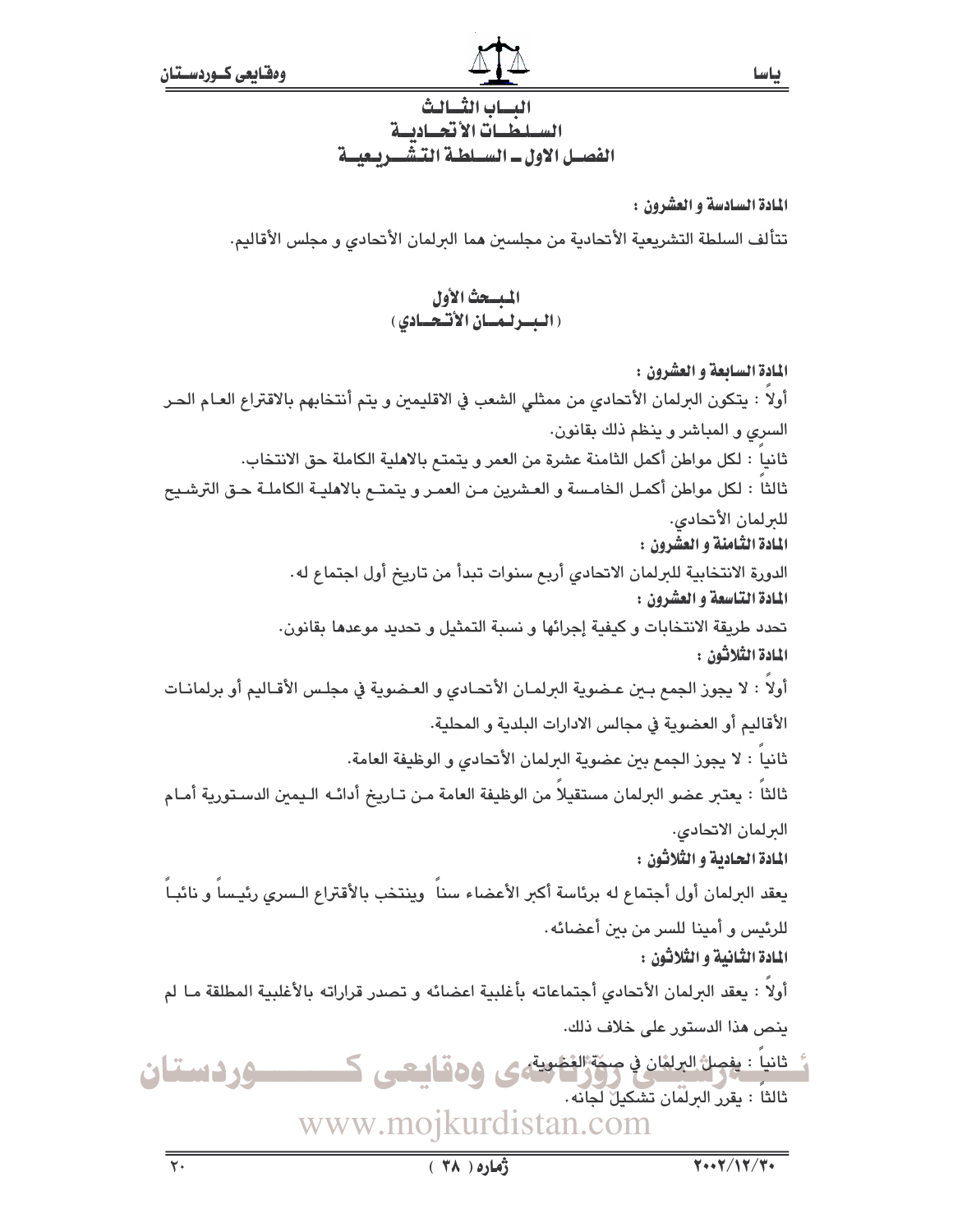ياسا

الدساب الثسيالث السلطيات الأتحياديية الفصيل الاول ـ السيلطية التيشي بيعيية

المادة السادسة و العشرون :

تتألف السلطة التشريعية الأتحادية من مجلسىن هما الىرلمان الأتحادي و مجلس الأقاليم.

## المبسحث الأول (البسولية الأنسو الأنسودي)

المادة السابعة و العشرون : أولاً : يتكون البرلمان الأنحادي من ممثلي الشعب في الاقليمين و يتم أنتخابهم بالاقتراع العـام الحـر السرى و المباشر و بنظم ذلك بقانون. ثانيا : لكل مواطن أكمل الثامنة عشرة من العمر و يتمتم بالاهلية الكاملة حق الانتخاب. ثالثاً : لكل مواطن أكمـل الخامـسة و العـشرين مـن العمـر و يتمتــع بالاهليــة الكاملـة حـق الترشـيح للىرلمان الأتحادي. المادة الثامنة و العشرون : الدورة الانتخابية للبرلمان الاتحادي أربع سنوات تبدأ من تاريخ أول اجتماع له. المادة التاسعة و العشرون : تحدد طريقة الانتخابات و كيفية إجرائها و نسبة التمثيل و تحديد موعدها بقانون. المادة الثلاثون : أولا : لا يجوز الجمع بـين عـضوية البرلمـان الأتحـادي و العـضوية في مجلـس الأقـاليم أو برلمانـات الأقاليم أو العضوية في مجالس الادارات البلدية و المحلية. ثانياً : لا يجوز الجمع بين عضوية البرلمان الأتحادى و الوظيفة العامة. ثالثاً : يعتبر عضو البرلمان مستقيلاً من الوظيفة العامة مـن تـاريخ أدائـه الـيمين الدسـتورية أمـام البرلمان الاتحادى. المادة الحادية و الثلاثون : يعقد البرلمان أول أجتماع له برئاسة أكبر الأعضاء سناً وينتخب بالأقتراع الـسري رئيـساً و نائبـاً للرئيس و أمينا للسر من بين أعضائه. المادة الثانية و الثلاثون : أولاً : يعقد البرلمان الأنحادي أجتماعاته بأغلبية اعضائه و تصدر قراراته بالأغلبية المطلقة مـا لم ينص هذا الدستور على خلاف ذلك. خانياً : يغصلُ البرلغان في صحّة الغضوية، ص 40 هـ أسعى مر ــوردستان ثالثاً : يقرر البرلَّمَان تَشْكِيلٌ لَجَانَه . www.mojkurdistan.com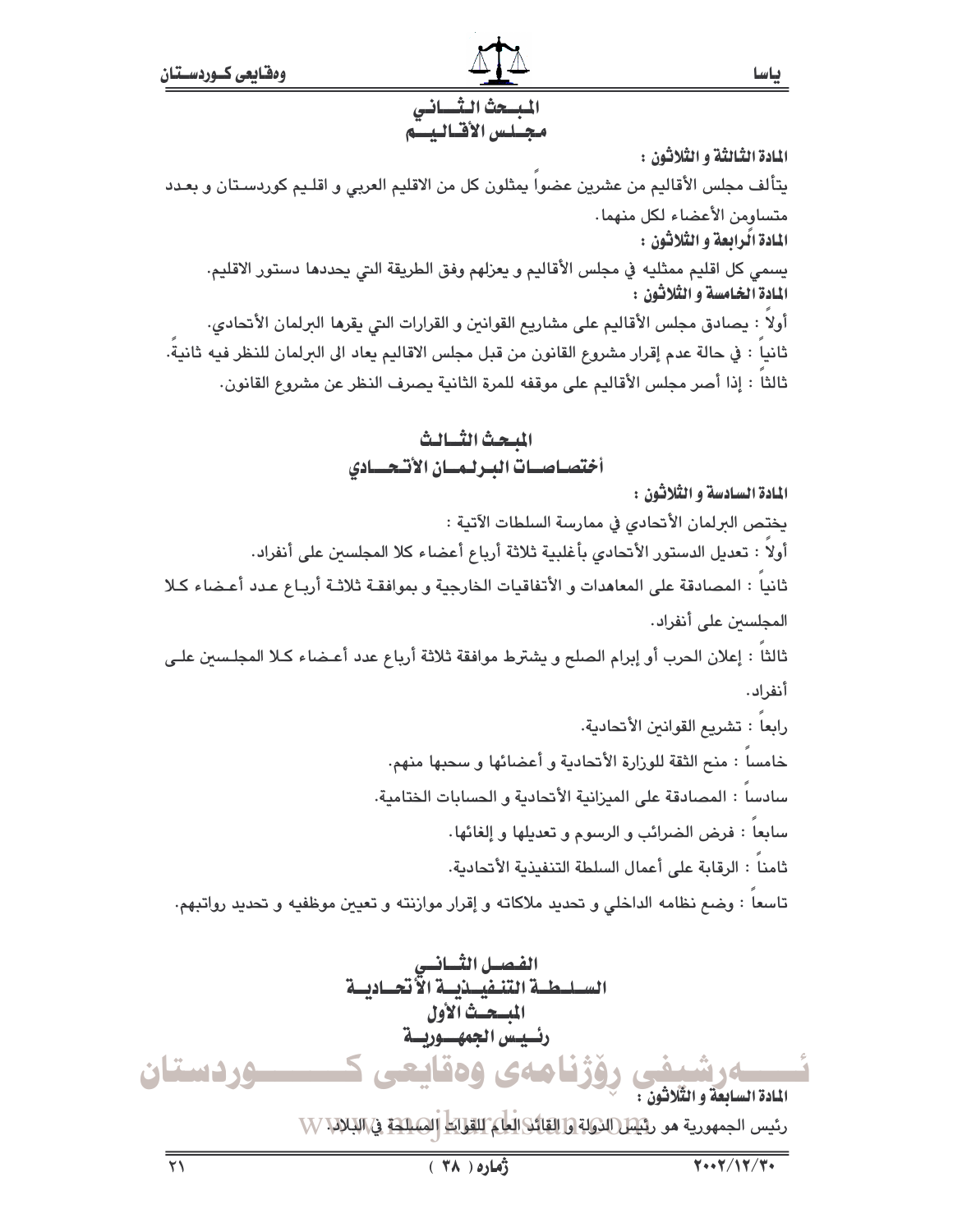## المبسحث الثساني محبلس الأقياليت

المادة الثّالثة و الثّلاثون :

يتألف مجلس الأقاليم من عشرين عضوا يمثلون كل من الاقليم العربي و اقلـيم كوردسـتان و بعـدد متساومن الأعضاء لكل منهما. المادة الّرابعة و الثّلاثون :

يسمى كل اقليم ممثليه في مجلس الأقاليم و يعزلهم وفق الطريقة التي يحددها دستور الاقليم. المادة الخامسة و الثلاثون :

أولا : يصادق مجلس الأقاليم على مشاريع القوانين و القرارات التي يقرها البرلمان الأتحادي. ثانيا : في حالة عدم إقرار مشروع القانون من قبل مجلس الاقاليم يعاد الى البرلمان للنظر فيه ثانية. ثالثاً : إذا أصر مجلس الأقاليم على موقفه للمرة الثانية يصرف النظر عن مشروع القانون.

## المبحث الثسالث أختصاصيات البرليسان الأتحسادى

المادة السادسة و الثّلاثون :

يختص البرلمان الأتحادي في ممارسة السلطات الآتية :

أولاً : تعديل الدستور الأتحادي بأغلبية ثلاثة أرباع أعضاء كلا المجلسين على أنفراد.

ثانيا : المصادقة على المعاهدات و الأتفاقيات الخارجية و بموافقـة ثلاثـة أربـاع عـدد أعـضاء كـلا المجلسين على أنفراد.

ثالثا : إعلان الحرب أو إبرام الصلح و يشترط موافقة ثلاثة أرباع عدد أعـضاء كـلا المجلسين علـى أنفراد.

رابعا : تشريع القوانين الأتحادية. خامسا : منح الثقة للوزارة الأتحادية و أعضائها و سحبها منهم. سادسا : المصادقة على الميزانية الأتحادية و الحسابات الختامية. سابعا : فرض الضرائب و الرسوم و تعديلها و إلغائها. ثامناً : الرقابة على أعمال السلطة التنفيذية الأتحادية. تاسعا : وضم نظامه الداخلي و تحديد ملاكاته و إقرار موازنته و تعيين موظفيه و تحديد رواتبهم.

الفصل الثساني<br>السليطية التنفيينيية الأتحياديية المسحَّثْ آلأول رئسيس الجمهسوريسة وردستان وژنامەي ەەقاشقە، المادة السابعة و الثّلاثون : رئيس الجمهورية هو ر<u>ئيس (الرولة وا القائلا العل) القوابط</u> الص<u>لاحة في ال</u>بلانيا W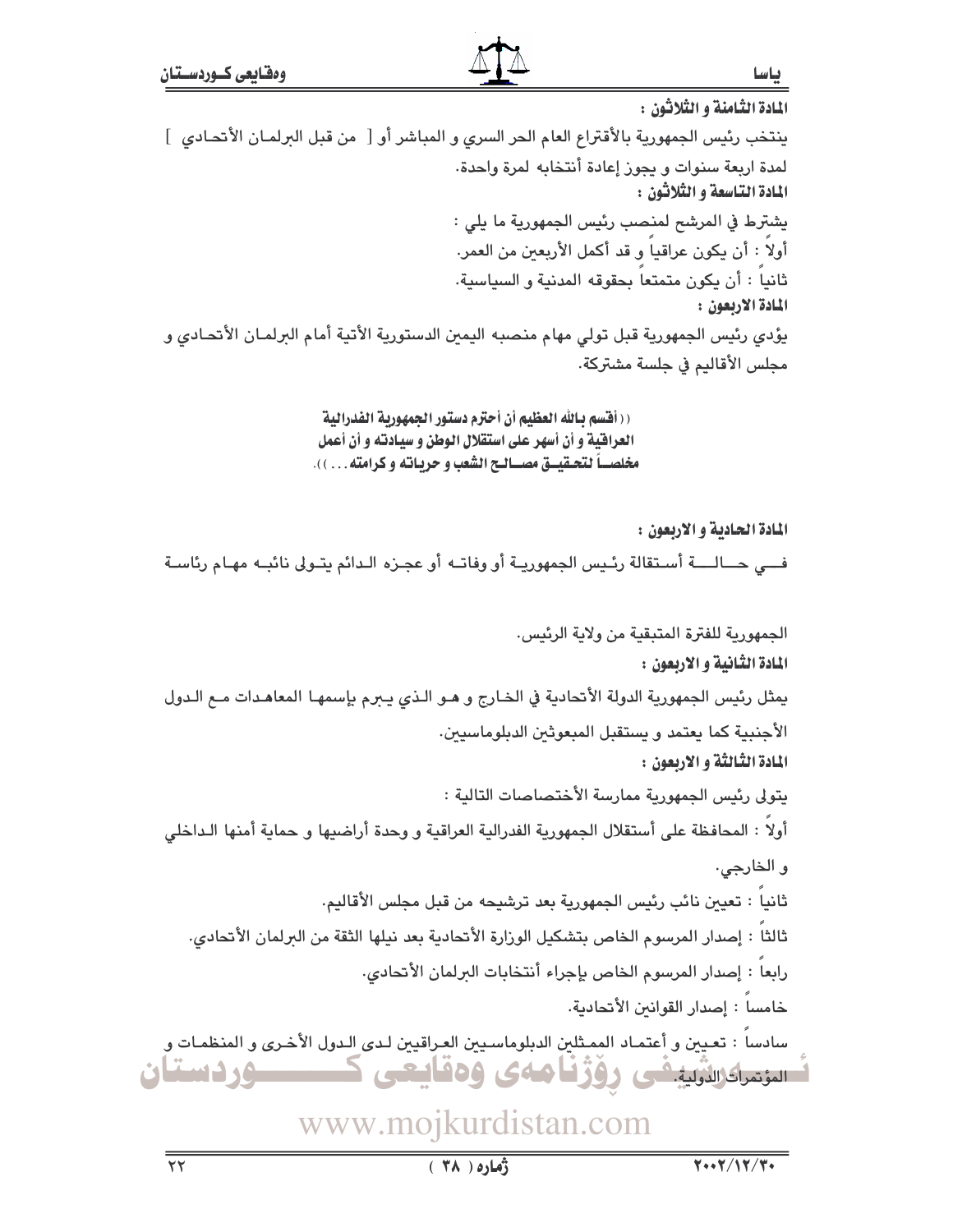باسا

المادة الثامنة و الثلاثون : ينتخب رئيس الجمهورية بالأقتراع العام الحر السرى و المباشر أو [ من قبل البرلمـان الأتحـادى ] لمدة اربعة سنوات و يجوز إعادة أنتخابه لمرة وإحدة. المادة التاسعة و الثلاثون : يشترط في المرشح لمنصب رئيس الجمهورية ما يلي : أولاً : أن يكون عراقياً و قد أكمل الأريعين من العمر. ثانياً : أن يكون متمتعاً بحقوقه المدنية و السياسية. المادة الاربعون : يؤدى رئيس الجمهورية قبل تولى مهام منصبه اليمين الدستورية الأتية أمام البرلمـان الأتحـادى و مجلس الأقاليم في جلسة مشتركة.

> ( ( أفَّسم بـالله العظيم أن أحترم دستور الجمهورية الفدرالية العراقية و أن أسهر على استقلال الوطن و سيادته و أن أعمل مخلصـــاً لتحــقيـــق مصـــالــح الشعب و حربــاتـه و كرامته. . . ) ).

المادة الحادية و الاربعون : فـــي حـــالـــــة أسـتقالة رئـيس الجمهوريــة أو وفاتــه أو عجـزه الـدائم يتــولى نائبــه مهـام رئاسـة

الجمهورية للفترة المتبقية من ولاية الرئيس. المادة الثانية و الاربعون : يمثل رئيس الجمهورية الدولة الأتحادية في الخـارج و هـو الـذي يـبرم بإسمهـا المعاهـدات مـع الـدول الأجنبية كما يعتمد و يستقبل المبعوثين الدبلوماسيين. المادة الثالثة و الاربعون : يتولى رئيس الجمهورية ممارسة الأختصاصات التالدة : أولاً : المحافظة على أستقلال الجمهورية الفدرالية العراقية و وحدة أراضيها و حماية أمنها الـداخلي و الخارجي. ثانيا : تعيين نائب رئيس الجمهورية بعد ترشيحه من قبل مجلس الأقاليم. ثالثا : إصدار المرسوم الخاص بتشكيل الورارة الأتحادية بعد نيلها الثقة من البرلمان الأتحادى. رابعا : إصدار المرسوم الخاص بإجراء أنتخابات البرلمان الأتحادي. خامسا : إصدار القوانين الأتحادية. سادساً : تعيين و أعتمـاد الممـثلين الدبلوماسـيين العـراقيين لـدى الـدول الأخـرى و المنظمـات و لسامنداگرانڈیلیشن روژفاههی ودقایعی ک ــوردستان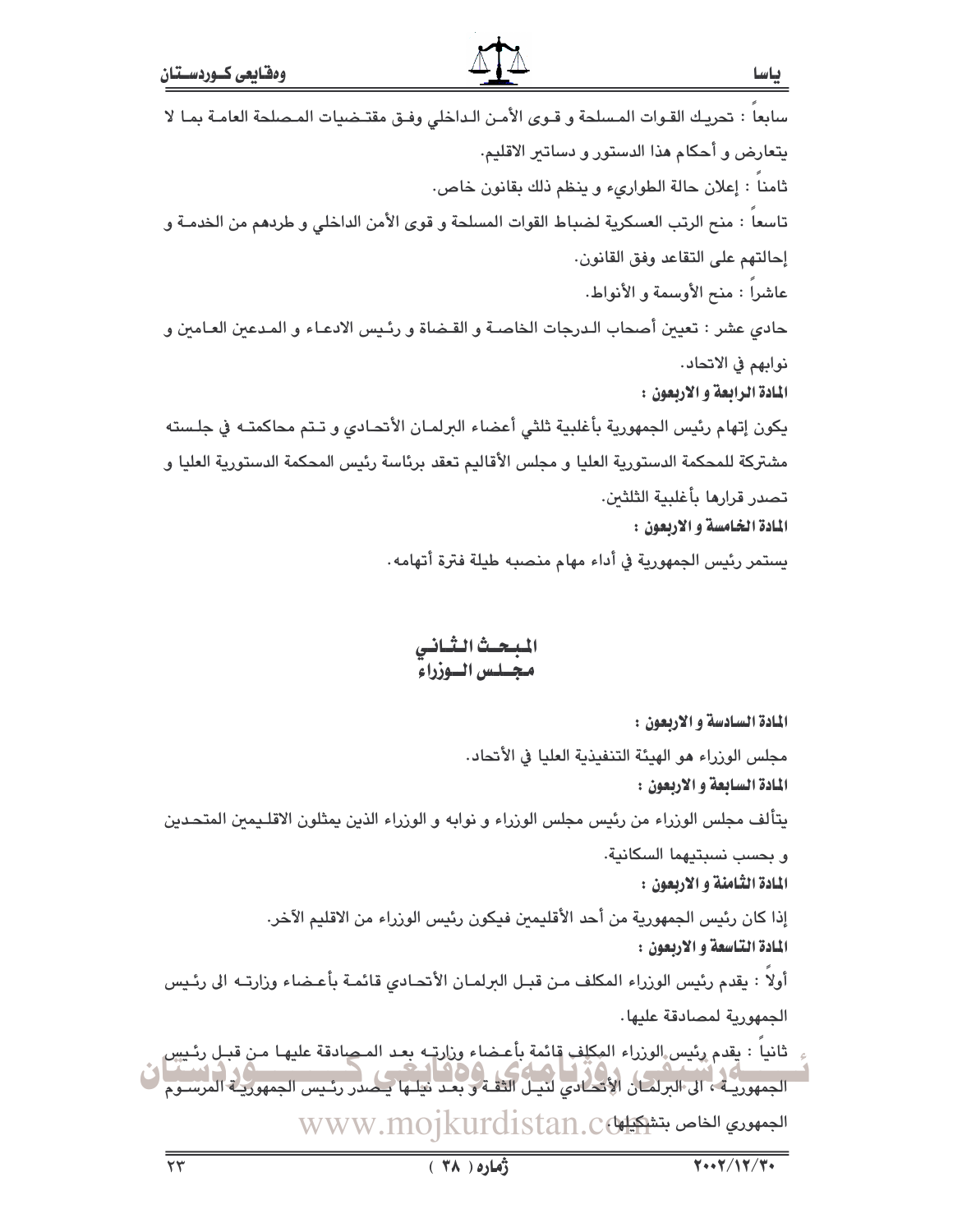سابعاً : تحريك القـوات المـسلحة و قـوى الأمـن الـداخلي وفـق مقتـضيات المـصلحة العامـة بمـا لا يتعارض و أحكام هذا الدستور و دساتير الاقليم. ثامنا : إعلان حالة الطوارىء وينظم ذلك بقانون خاص. تاسعا : منح الرتب العسكرية لضباط القوات المسلحة و قوى الأمن الداخلي و طردهم من الخدمـة و إحالتهم على التقاعد وفق القانون. عاشرا : منح الأوسمة و الأنواط. حادي عشر : تعيين أصحاب الـدرجات الخاصـة و القـضاة و رئـيس الادعـاء و المـدعين العـامين و نوابهم في الاتحاد. المادة الرابعة و الاربعون : يكون إتهام رئيس الجمهورية بأغلبية ثلثى أعضاء البرلمـان الأنحـادي و تـتم محاكمتـه في جلـسته مشتركة للمحكمة الدستورية العليا و مجلس الأقاليم تعقد برئاسة رئيس المحكمة الدستورية العليا و تصدر قرارها بأغلبية الثلثين. المادة الخامسة و الاربعون : يستمر رئيس الجمهورية في أداء مهام منصبه طيلة فترة أتهامه.

## المبحث الثاني مجلس الوزراء

المادة السادسة و الاربعون : مجلس الوزراء هو الهيئة التنفيذية العليا في الأتحاد. المادة السابعة و الاربعون : يتألف مجلس الورراء من رئيس مجلس الورراء و نوابه و الورراء الذين يمثلون الاقلـيمين المتحـدين و بحسب نسبتيهما السكانية. المادة الثامنة و الاربعون : إذا كان رئيس الجمهورية من أحد الأقليمين فيكون رئيس الوزراء من الاقليم الآخر. المادة التاسعة و الاربعون : أولاً : يقدم رئيس الوزراء المكلف من قبـل البرلمـان الأتحـادي قائمـة بأعـضاء وزارتـه الى رئـيس الجمهورية لمصادقة عليها. ثانياً : يقدم رئيس الوزراء المِكلِف قائمة بأعـضاء وزارتٍ بعد المـصادقة عليهـا مـن قبـل رئـيس الجمهورية ، إلى البرامان الأنصادي لنيـل الثقـة و بعـد نيلـها يـمـدر رئـيس الجمهوريـة المرسـوم WWW.MOJKurdistan.cd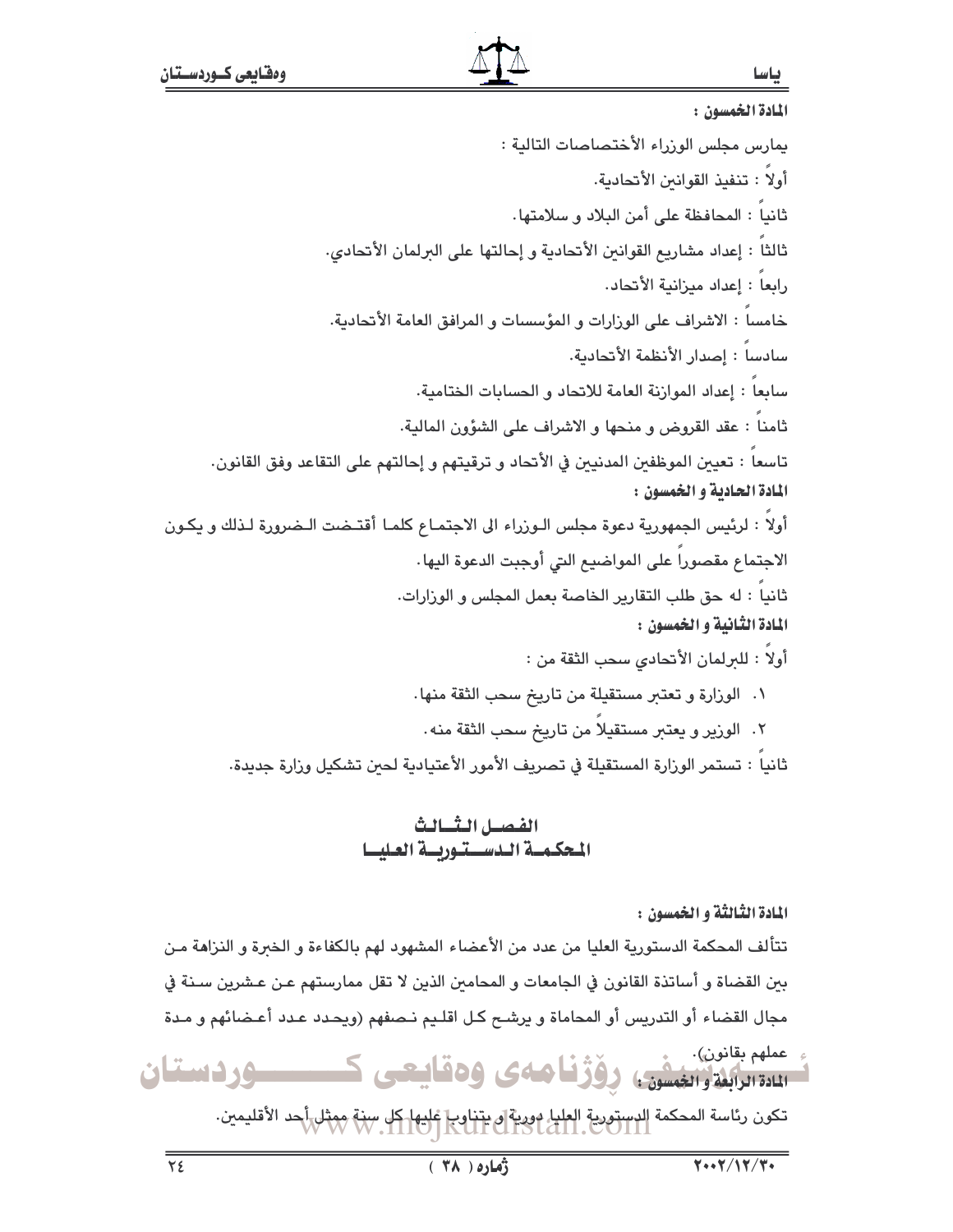المادة الخمسون : يمارس مجلس الوزراء الأختصاصات التالية : أولاً : تنفيذ القوانين الأتحادية. ثانيا : المحافظة على أمن البلاد و سلامتها. ثالثاً : إعداد مشاريع القوانين الأنحادية و إحالتها على البرلمان الأنحادي. رابعا : إعداد ميزانية الأتحاد. خامسا : الاشراف على الورارات و المؤسسات و المرافق العامة الأتحادية. سادسا : إصدار الأنظمة الأتحادية. سابعا : إعداد الموازنة العامة للاتحاد و الحسابات الختامية. ثامنا : عقد القروض و منحها و الاشراف على الشؤون المالية. تاسعا : تعيين الموظفين المدنيين في الأتحاد و ترقيتهم و إحالتهم على التقاعد وفق القانون. المادة الحادية و الخمسون : أولاً : لرئيس الجمهورية دعوة مجلس الـورراء الى الاجتمـاع كلمـا أقتـضت الـضرورة لـذلك و يكـون الاجتماع مقصورا على المواضيع التي أوجبت الدعوة اليها . ثانياً : له حق طلب التقارير الخاصة بعمل المجلس و الورارات. المادة الثانية و الخمسون : أولا : للبرلمان الأتحادي سحب الثقة من : ١. الوزارة و تعتبر مستقيلة من تاريخ سحب الثقة منها. ٢. الوزير و يعتبر مستقيلاً من تاريخ سحب الثقة منه. ثانياً : تستمر الوزارة المستقيلة في تصريف الأمور الأعتيادية لحين تشكيل وزارة جديدة. الفصل الثسالث المحكمة الدستورسة العليسا المادة الثَّالثَّة و الخمسون : تتألف المحكمة الدستورية العليا من عدد من الأعضاء المشهود لهم بالكفاءة و الخبرة و النزاهة مـن بين القضاة و أساتذة القانون في الجامعات و المحامين الذين لا تقل ممارستهم عـن عـشرين سـنة في مجال القضاء أو التدريس أو المحاماة و يرشح كل اقلـيم نـصفهم (ويحـدد عـدد أعـضائهم و مـدة عملهم بقانون). سیست وقفیلی است و استفادهای و مقاییعی ک ــــوردستان

تكون رئاسة المحكمة الدستورية العليا دورية في يتناوب غليها كل سنة ممثل أحد الأقليمين.<br>المستقل المستقل المستورية المستقل المستقل المستقل المستقل المستقل المستقل المستقل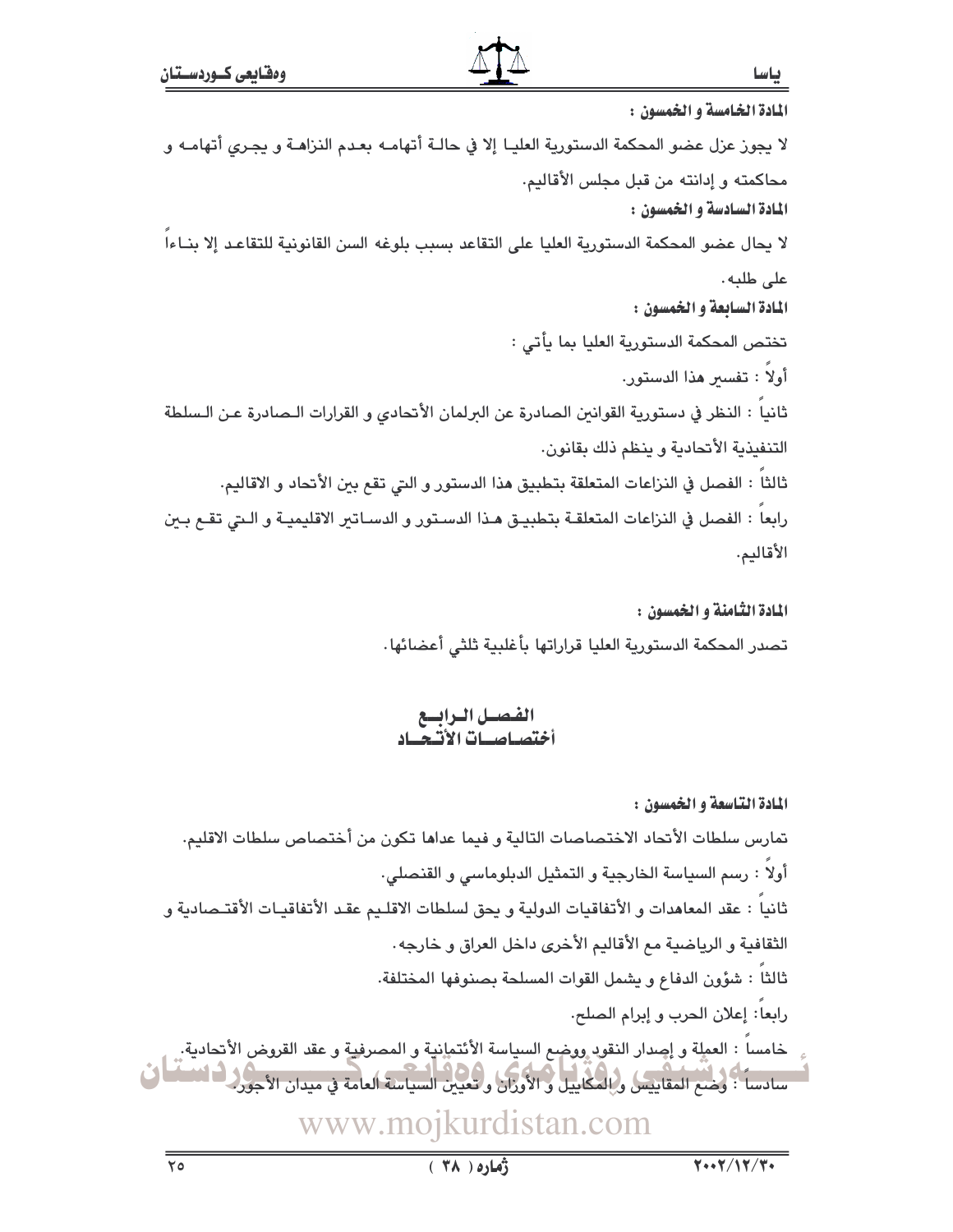المادة الخامسة و الخمسون : لا يجوز عزل عضو المحكمة الدستورية العليـا إلا في حالـة أتهامـه بعـدم النزاهـة و يجـرى أتهامـه و محاكمته و إدانته من قبل مجلس الأقاليم. المادة السادسة و الخمسون : لا يحال عضو المحكمة الدستورية العليا على التقاعد بسبب بلوغه السن القانونية للتقاعد إلا بنـاءاً على طلبه. المادة السابعة و الخمسون : تختص المحكمة الدستورية العليا بما يأتي : أولاً : تفسير هذا الدستور. ثانيا : النظر في دستورية القوانين الصادرة عن البرلمان الأتحادي و القرارات الـصادرة عـن الـسلطة التنفيذية الأتحادية و ينظم ذلك بقانون. ثالثاً : الفصل في النزاعات المتعلقة بتطبيق هذا الدستور و التي تقع بين الأتحاد و الاقاليم. رابعاً : الفصل في النزاعات المتعلقـة بتطبيـق هـذا الدسـتور و الدسـاتير الاقليميـة و الـتي تقــع بـين الأقاليم.

> المادة الثّامنة و الخمسون : تصدر المحكمة الدستورية العليا قراراتها بأغلبية ثلثى أعضائها

الفصل الرابسع<br>أختصاصيات الأتبعياد

المادة التاسعة و الخمسون : تمارس سلطات الأتحاد الاختصاصات التالية و فيما عداها تكون من أختصاص سلطات الاقليم. أولا : رسم السياسة الخارجية و التمثيل الدبلوماسي و القنصلي. ثانيا : عقد المعاهدات و الأتفاقيات الدولية و يحق لسلطات الاقلـيم عقـد الأتفاقيـات الأقتـصادية و الثقافية و الرياضية مع الأقاليم الأخرى داخل العراق و خارجه . ثالثاً : شؤون الدفاع و يشمل القوات المسلحة بصنوفها المختلفة. رابعاً: إعلان الحرب و إبرام الصلح. خامساً : العملة و إصدار النقود ووضح السياسة الأئتمانية و المصرفية و عقد القروض الأتحادية. ۖ سادساً : وضنع المقاييس والمكاييل و الأوزار وتعيين السياسة العامة في ميدان الأجور في النسا www.mojkurdistan.com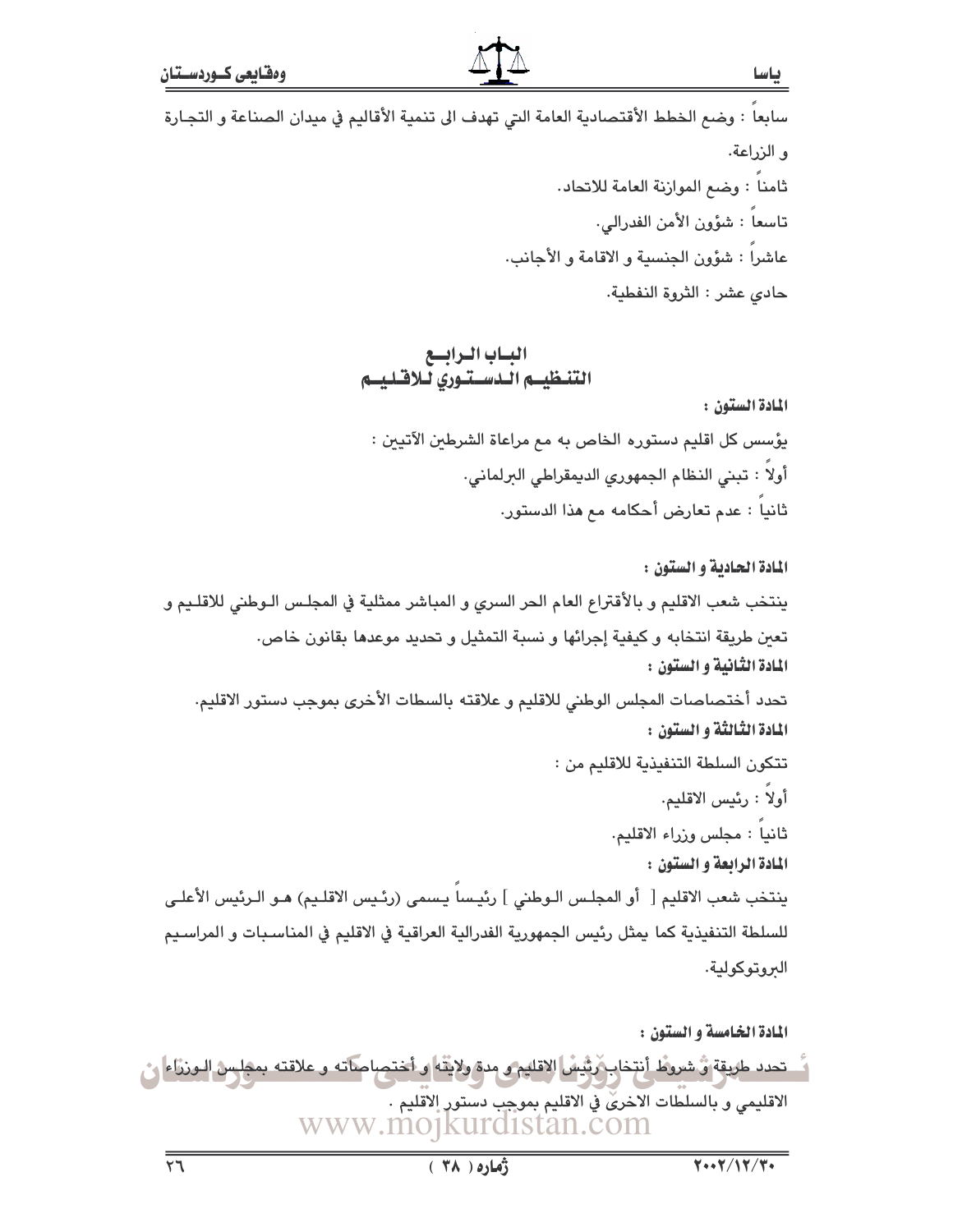سابعا : وضم الخطط الأقتصادية العامة التي تهدف الى تنمية الأقاليم في ميدان الصناعة و التجارة و الزراعة. ثامنا : وضم الموازنة العامة للاتحاد. تاسعا : شؤون الأمن الفدرالي. عاشرا : شؤون الجنسية و الاقامة و الأجانب. حادى عشر : الثروة النفطية.

> البساب البرابسع التنظيس الدستنوري للاقليسم

> > المادة الستون:

يؤسس كل اقليم دستوره الخاص به مم مراعاة الشرطين الآتيين : أولاً : تبنى النظام الجمهوري الديمقراطي البرلماني. ثانياً : عدم تعارض أحكامه مم هذا الدستور.

المادة الحادية و الستون : ينتخب شعب الاقليم و بالأقتراع العام الحر السرى و المباشر ممثلية في المجلس الـوطني للاقلـيم و تعبن طريقة انتخابه و كيفية إجرائها و نسبة التمثيل و تحديد موعدها بقانون خاص. المادة الثانية و الستون : تحدد أختصاصات المجلس الوطني للاقليم و علاقته بالسطات الأخرى بموجب دستور الاقليم. المادة الثّالثة و الستون : تتكون السلطة التنفيذية للاقليم من : أولاً : رئيس الاقليم. ثانياً : مجلس وزراء الاقليم. المادة الرابعة و الستون : ينتخب شعب الاقليم [ أو المجلس الـوطني ] رئيسا يـسمى (رئـيس الاقلـيم) هـو الـرئيس الأعلـي للسلطة التنفيذية كما يمثل رئيس الجمهورية الفدرالية العراقية في الاقليم في المناسبات و المراسيم الىروتوكولية.

المادة الخامسة و الستون : تحدد طريقة وُ شروط أنتخاب رَبُّيسُ الاقليم و مدة ولايتّه و أختصاصاته و علاقته بمجلس الـورزاء ا الاقليمي و بالسلطات الاخرىٰ في الاقليم بموجب دستور الاقليم . www.mojkurdistan.com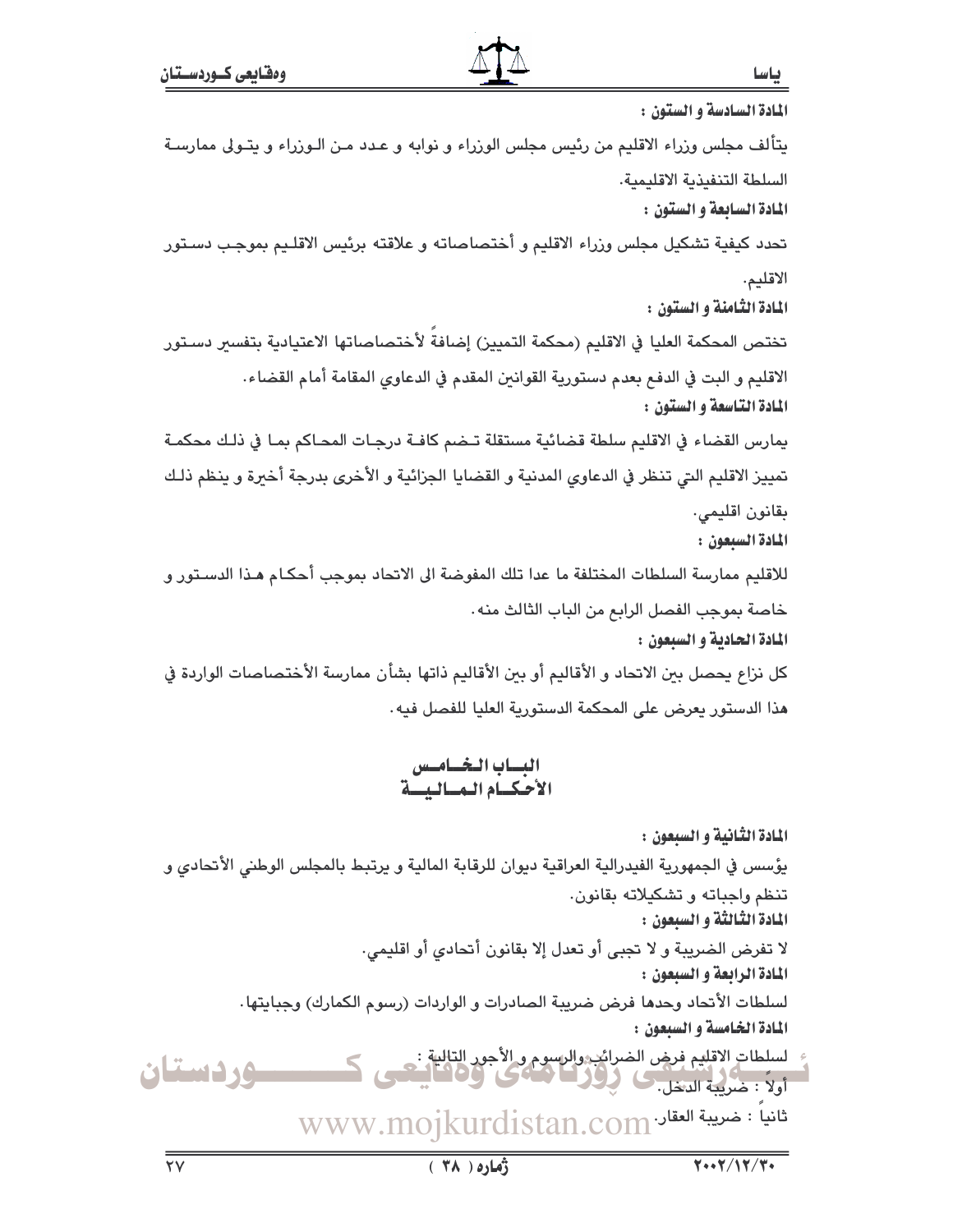المادة السادسة و الستون : يتألف مجلس وزراء الاقليم من رئيس مجلس الوزراء و نوابه و عـدد مـن الـوزراء و يتـولى ممارسـة السلطة التنفيذية الاقليمية. المادة السابعة و الستون : تحدد كيفية تشكيل مجلس وزراء الاقليم و أختصاصاته و علاقته برئيس الاقلـيم بموجب دسـتور الاقليم. المادة الثّامنة و الستون : تختص المحكمة العليا في الاقليم (محكمة التمييز) إضافة لأختصاصاتها الاعتيادية بتفسىر دستور الاقليم و البت في الدفع بعدم دستورية القوانين المقدم في الدعاوي المقامة أمام القضاء. المادة التاسعة و الستون : يمارس القضاء في الاقليم سلطة قضائية مستقلة تـضم كافـة درجـات المحـاكم بمـا في ذلـك محكمـة تمييز الاقليم التي تنظر في الدعاوى المدنية و القضايا الجزائية و الأخرى بدرجة أخيرة و ينظم ذلك بقانون اقليمي. المادة السبعون : للاقليم ممارسة السلطات المختلفة ما عدا تلك المفوضة الى الاتحاد بموجب أحكـام هـذا الدسـتور و خاصة بموجب الفصل الرابع من الباب الثالث منه. المادة الحادية و السبعون : كل نزاع يحصل بين الاتحاد و الأقاليم أو بين الأقاليم ذاتها بشأن ممارسة الأختصاصات الواردة في هذا الدستور يعرض على المحكمة الدستورية العليا للفصل فيه.

البساب البخسامسين الأحكيام المساليسة

المادة الثّانية و السيعون : يؤسس في الجمهورية الفيدرالية العراقية ديوان للرقابة المالية و يرتبط بالمجلس الوطني الأتحادي و تنظم وإجباته و تشكيلاته بقانون. المادة الثالثة و السيعون : لا تفرض الضريبة و لا تجبي أو تعدل إلا بقانون أتحادي أو اقليمي. المادة الرابعة و السبعون : لسلطات الأتحاد وحدها فرض ضريبة الصادرات و الواردات (رسوم الكمارك) وجبايتها. المادة الخامسة و السبعون : لسلطات الاقليم فرض الضرائب والرسوم و الأجور التالية :<br>أولاً : ضاع المتصلين كل في المتحدث في 1000 ب<br>أولاً : ضريبة الدخل. **سوردستان** تانياً : خىرىبة العقاد www.mojkurdistan.com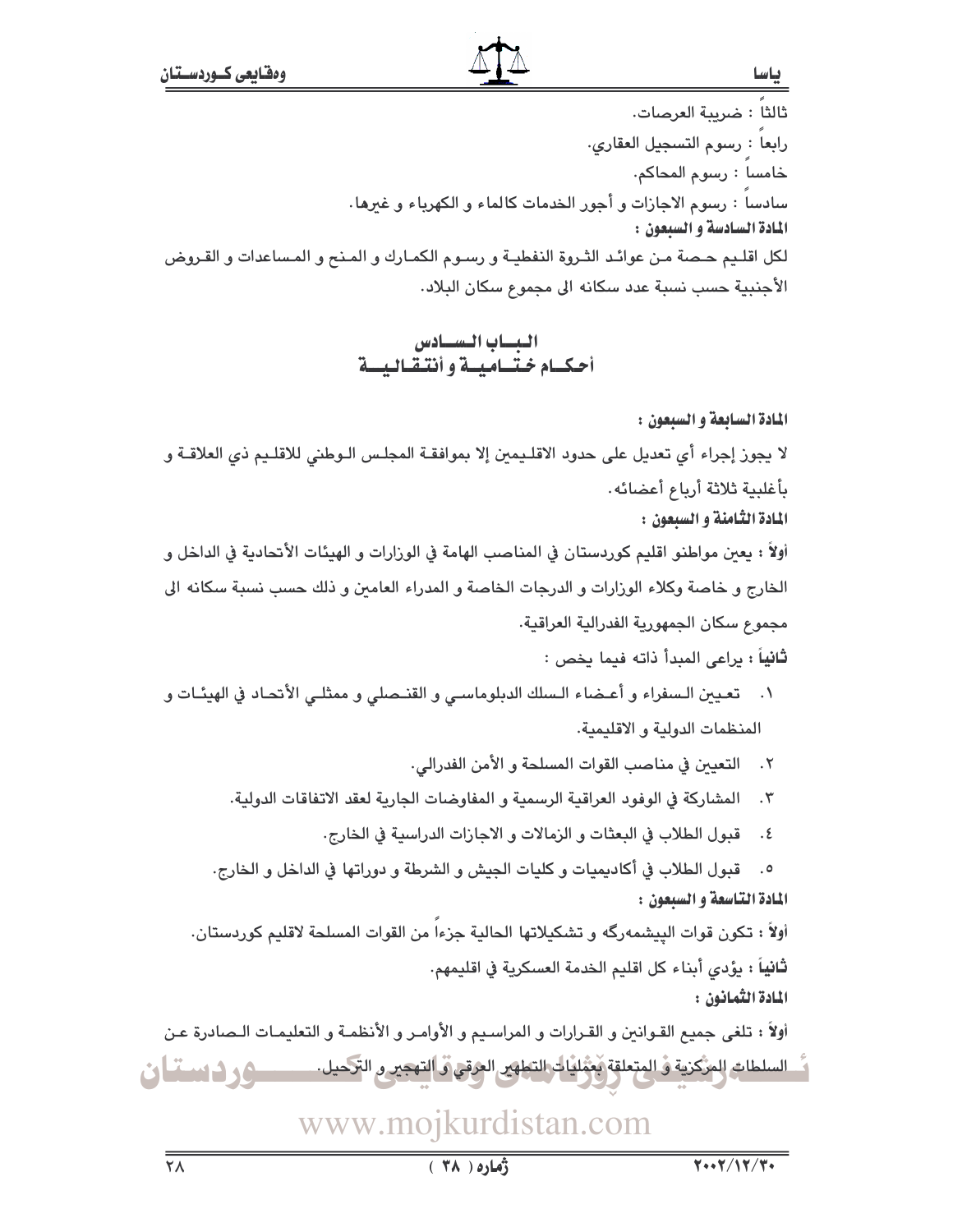باسا

ثالثا : ضريبة العرصات. رابعا : رسوم التسجيل العقارى. خامسا : رسوم المحاكم. سادسا : رسوم الاجازات و أجور الخدمات كالماء و الكهرباء و غيرها . المادة السادسة و السيعون : لكل اقليم حـصة مـن عوائـد الثـروة النفطيـة و رسـوم الكمـارك و المـنح و المـساعدات و القـروض الأجنبية حسب نسبة عدد سكانه الى مجموع سكان البلاد.

### البساب السسادس أحكيام ختساميسة وأنتقباليسة

المادة السابعة و السبعون : لا يجوز إجراء أي تعديل على حدود الاقلـيمين إلا بموافقـة المجلـس الـوطني للاقلـيم ذي العلاقــة و بأغلبية ثلاثة أرباع أعضائه.

المادة الثامنة و السيعون :

أولاً : يعين مواطنو اقليم كوردستان في المناصب الهامة في الورارات و الهيئات الأتحادية في الداخل و الخارج و خاصة وكلاء الوزارات و الدرجات الخاصة و المدراء العامين و ذلك حسب نسبة سكانه الى مجموع سكان الجمهورية الفدرالية العراقية.

ثانياً : براعي المبدأ ذاته فيما يخص :

١. تعيين الـسفراء و أعـضاء الـسلك الدبلوماسـي و القنـصلي و ممثلـي الأنحـاد في الهيئـات و المنظمات الدولية و الاقليمية.

٢. التعيين في مناصب القوات المسلحة و الأمن الفدرالي.

٣. المشاركة في الوفود العراقية الرسمية و المفاوضات الجارية لعقد الاتفاقات الدولية.

٤. قبول الطلاب في البعثات و الزمالات و الاجازات الدراسية في الخارج.

٥. قبول الطلاب في أكاديميات وكليات الجيش و الشرطة و دوراتها في الداخل و الخارج. المادة التاسعة و السبعون :

أولاً : تكون قوات البيشمهرگه و تشكيلاتها الحالية جزءا من القوات المسلحة لاقليم كوردستان. **ثانياً :** يؤدي أبناء كل اقليم الخدمة العسكرية في اقليمهم. المادة الثمانون :

أولاً : تلغى جميع القـوانين و القـرارات و المراسـيم و الأوامـر و الأنظمـة و التعليمـات الـصادرة عـن السلطات المركزية و المتعلقة مغمّليات التطهير العرقي و التحمير و التحميل. ـــــــــــــــــــــــــــ و ف اسمعنا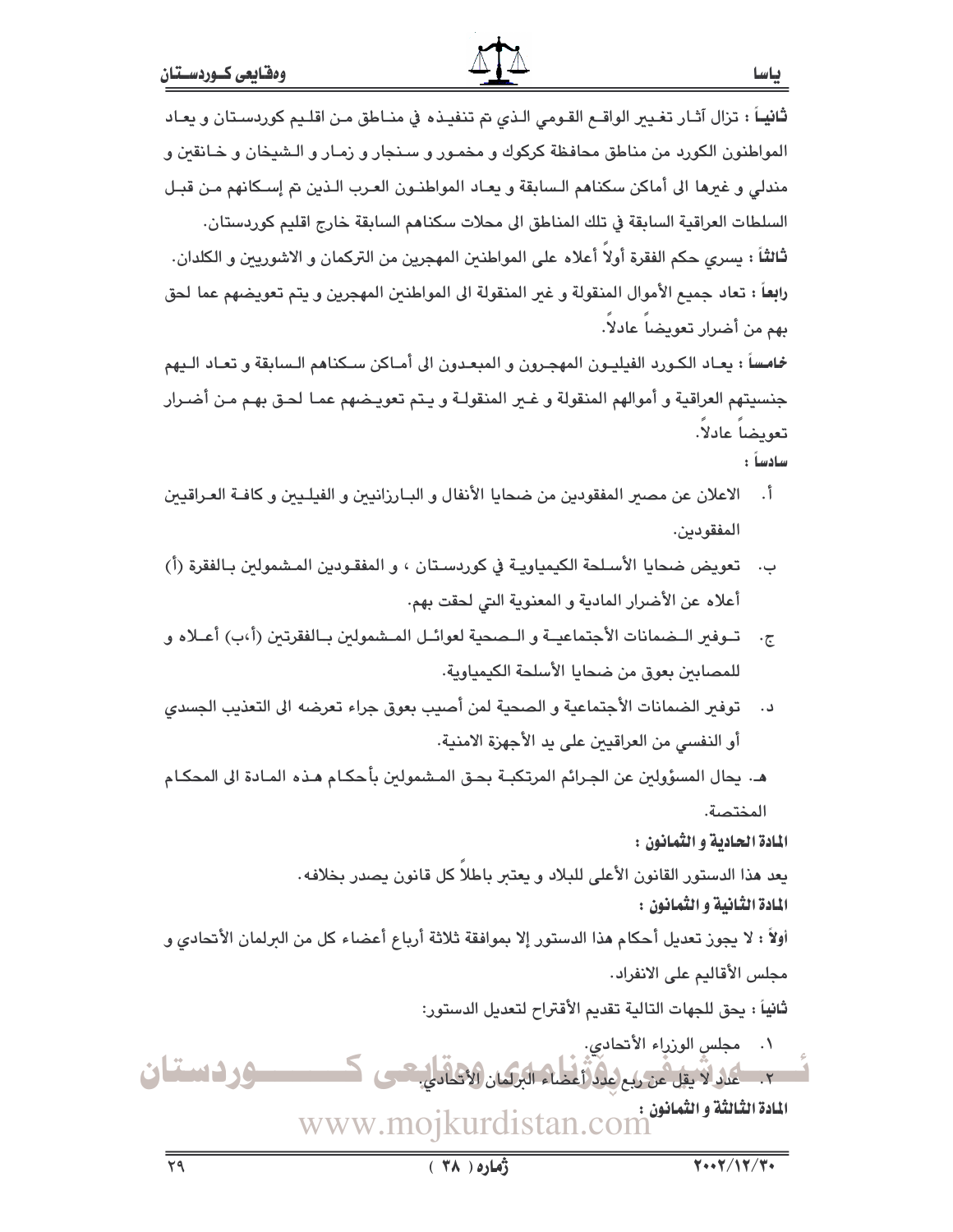# ثانيـاً : تزال آثـار تغـيير الواقــع القـومى الـذى تم تنفيـذه في منـاطق مـن اقلـيم كوردسـتان و يعـاد المواطنون الكورد من مناطق محافظة كركوك و مخمـور و سـنـجار و زمـار و الـشيخان و خـانقين و مندلي و غيرها الى أماكن سكناهم الـسابقة و يعـاد المواطنــون العـرب الـذين تم إســكانهم مـن قبــل السلطات العراقية السابقة في تلك المناطق الى محلات سكناهم السابقة خارج اقليم كوردستان. ثالثاً : يسرى حكم الفقرة أولا أعلاه على المواطنين المهجرين من التركمان و الاشوريين و الكلدان.

رابعاً : تعاد جميع الأموال المنقولة و غير المنقولة الى المواطنين المهجرين و يتم تعويضهم عما لحق بهم من أضرار تعويضا عادلاً.

خماسساً : يعـاد الكـورد الفيليـون المهجـرون و المبعـدون الى أمـاكن سـكناهم الـسابقة و تعـاد الـيهم جنسيتهم العراقية و أموالهم المنقولة و غـير المنقولـة و يـتم تعويـضهم عمـا لحـق بهـم مـن أضـرار تعويضا عادلا. سادساً :

- أ. الاعلان عن مصير المفقودين من ضحايا الأنفال و البـارزانيين و الفيلـيين و كافـة العـراقيين المفقودين.
- ب. تعويض ضحايا الأسلحة الكيمياويـة في كوردسـتان ، و المفقـودين المـشمولين بـالفقرة (أ) أعلاه عن الأضرار المادية و المعنوية التي لحقت بهم.
- ج. تبوفير البضمانات الأجتماعيــة و البصحية لعوائــل المبشمولين بــالفقرتين (أ،ب) أعــلاه و للمصابين بعوق من ضحايا الأسلحة الكيمياوية.
- توفير الضمانات الأجتماعية و الصحية لمن أصيب بعوق جراء تعرضه الى التعذيب الجسدى د . أو النفسي من العراقيين على يد الأجهزة الامنية.
- هـ. يحال المسؤولين عن الجـرائم المرتكبـة بحـق المـشمولين بأحكـام هـذه المـادة الى المحكـام المختصة.

المادة الحادية و الثمانون :

يعد هذا الدستور القانون الأعلى للبلاد و يعتبر باطلا كل قانون يصدر بخلافه. المادة الثانية و الثمانون :

أولاً : لا يجوز تعديل أحكام هذا الدستور إلا بموافقة ثلاثة أرباع أعضاء كل من البرلمان الأتحادي و مجلس الأقاليم على الانفراد.

ثانياً : يحق للجهات التالية تقديم الأقتراح لتعديل الدستور: